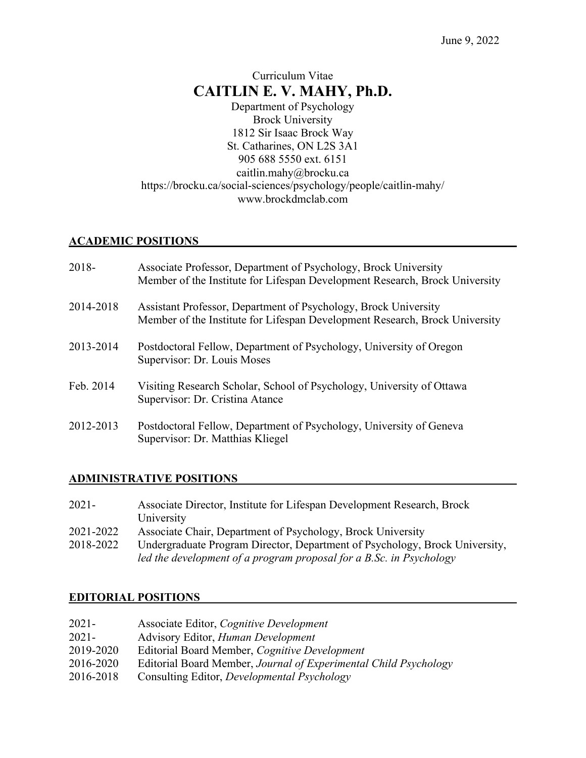# Curriculum Vitae **CAITLIN E. V. MAHY, Ph.D.**

Department of Psychology Brock University 1812 Sir Isaac Brock Way St. Catharines, ON L2S 3A1 905 688 5550 ext. 6151 caitlin.mahy@brocku.ca https://brocku.ca/social-sciences/psychology/people/caitlin-mahy/ www.brockdmclab.com

## **ACADEMIC POSITIONS**

| 2018-     | Associate Professor, Department of Psychology, Brock University<br>Member of the Institute for Lifespan Development Research, Brock University |
|-----------|------------------------------------------------------------------------------------------------------------------------------------------------|
| 2014-2018 | Assistant Professor, Department of Psychology, Brock University<br>Member of the Institute for Lifespan Development Research, Brock University |
| 2013-2014 | Postdoctoral Fellow, Department of Psychology, University of Oregon<br>Supervisor: Dr. Louis Moses                                             |
| Feb. 2014 | Visiting Research Scholar, School of Psychology, University of Ottawa<br>Supervisor: Dr. Cristina Atance                                       |
| 2012-2013 | Postdoctoral Fellow, Department of Psychology, University of Geneva<br>Supervisor: Dr. Matthias Kliegel                                        |

## **ADMINISTRATIVE POSITIONS**

| 2021-     | Associate Director, Institute for Lifespan Development Research, Brock      |
|-----------|-----------------------------------------------------------------------------|
|           | University                                                                  |
| 2021-2022 | Associate Chair, Department of Psychology, Brock University                 |
| 2018-2022 | Undergraduate Program Director, Department of Psychology, Brock University, |
|           | led the development of a program proposal for a B.Sc. in Psychology         |

## **EDITORIAL POSITIONS**

| 2021-     | Associate Editor, Cognitive Development                          |
|-----------|------------------------------------------------------------------|
| 2021-     | Advisory Editor, <i>Human Development</i>                        |
| 2019-2020 | Editorial Board Member, Cognitive Development                    |
| 2016-2020 | Editorial Board Member, Journal of Experimental Child Psychology |
| 2016-2018 | Consulting Editor, <i>Developmental Psychology</i>               |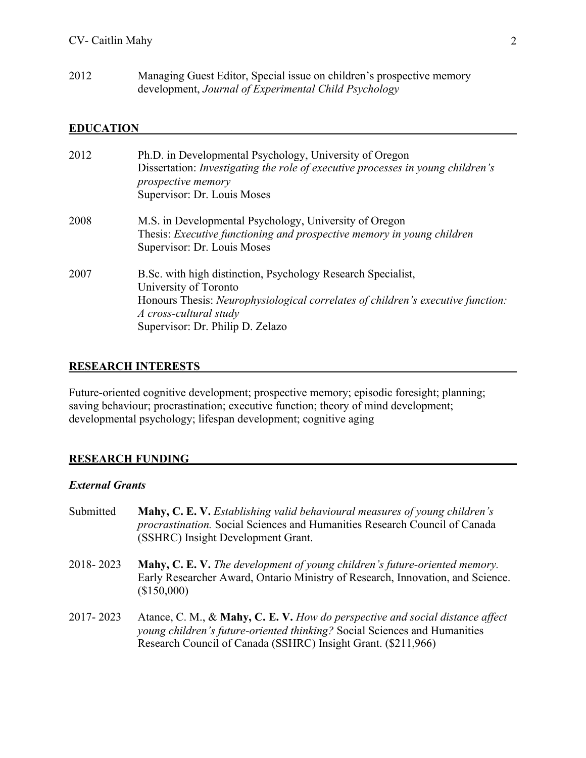2012 Managing Guest Editor, Special issue on children's prospective memory development, *Journal of Experimental Child Psychology*

### **EDUCATION**

| 2012 | Ph.D. in Developmental Psychology, University of Oregon<br>Dissertation: Investigating the role of executive processes in young children's<br>prospective memory<br>Supervisor: Dr. Louis Moses                                        |
|------|----------------------------------------------------------------------------------------------------------------------------------------------------------------------------------------------------------------------------------------|
| 2008 | M.S. in Developmental Psychology, University of Oregon<br>Thesis: Executive functioning and prospective memory in young children<br>Supervisor: Dr. Louis Moses                                                                        |
| 2007 | B.Sc. with high distinction, Psychology Research Specialist,<br>University of Toronto<br>Honours Thesis: Neurophysiological correlates of children's executive function:<br>A cross-cultural study<br>Supervisor: Dr. Philip D. Zelazo |

#### **RESEARCH INTERESTS**

Future-oriented cognitive development; prospective memory; episodic foresight; planning; saving behaviour; procrastination; executive function; theory of mind development; developmental psychology; lifespan development; cognitive aging

#### **RESEARCH FUNDING**

#### *External Grants*

- Submitted **Mahy, C. E. V.** *Establishing valid behavioural measures of young children's procrastination.* Social Sciences and Humanities Research Council of Canada (SSHRC) Insight Development Grant.
- 2018- 2023 **Mahy, C. E. V.** *The development of young children's future-oriented memory.* Early Researcher Award, Ontario Ministry of Research, Innovation, and Science. (\$150,000)
- 2017- 2023 Atance, C. M., & **Mahy, C. E. V.** *How do perspective and social distance affect young children's future-oriented thinking?* Social Sciences and Humanities Research Council of Canada (SSHRC) Insight Grant. (\$211,966)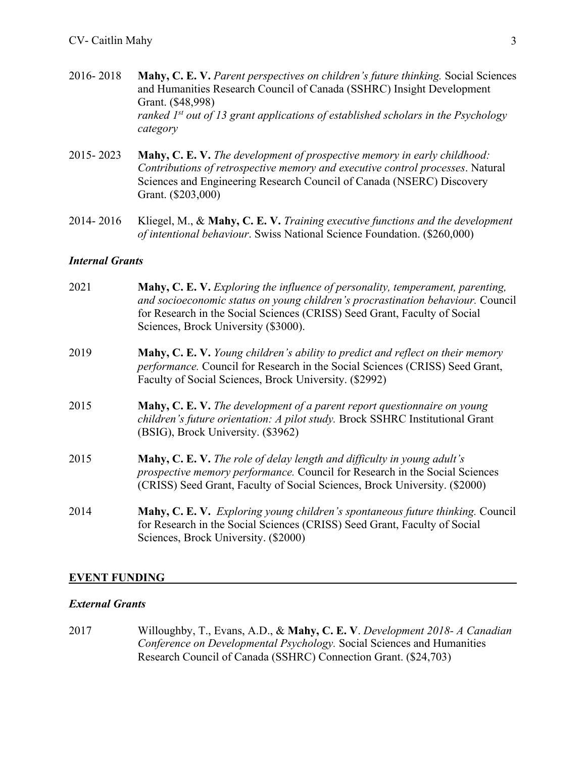- 2016- 2018 **Mahy, C. E. V.** *Parent perspectives on children's future thinking.* Social Sciences and Humanities Research Council of Canada (SSHRC) Insight Development Grant. (\$48,998) *ranked 1st out of 13 grant applications of established scholars in the Psychology category*
- 2015- 2023 **Mahy, C. E. V.** *The development of prospective memory in early childhood: Contributions of retrospective memory and executive control processes*. Natural Sciences and Engineering Research Council of Canada (NSERC) Discovery Grant. (\$203,000)
- 2014- 2016 Kliegel, M., & **Mahy, C. E. V.** *Training executive functions and the development of intentional behaviour*. Swiss National Science Foundation. (\$260,000)

#### *Internal Grants*

| 2021 | <b>Mahy, C. E. V.</b> Exploring the influence of personality, temperament, parenting,<br>and socioeconomic status on young children's procrastination behaviour. Council<br>for Research in the Social Sciences (CRISS) Seed Grant, Faculty of Social<br>Sciences, Brock University (\$3000). |
|------|-----------------------------------------------------------------------------------------------------------------------------------------------------------------------------------------------------------------------------------------------------------------------------------------------|
| 2019 | <b>Mahy, C. E. V.</b> Young children's ability to predict and reflect on their memory<br>performance. Council for Research in the Social Sciences (CRISS) Seed Grant,<br>Faculty of Social Sciences, Brock University. (\$2992)                                                               |
| 2015 | Mahy, C. E. V. The development of a parent report questionnaire on young<br>children's future orientation: A pilot study. Brock SSHRC Institutional Grant<br>(BSIG), Brock University. (\$3962)                                                                                               |
| 2015 | <b>Mahy, C. E. V.</b> The role of delay length and difficulty in young adult's<br>prospective memory performance. Council for Research in the Social Sciences<br>(CRISS) Seed Grant, Faculty of Social Sciences, Brock University. (\$2000)                                                   |
| 2014 | Mahy, C. E. V. Exploring young children's spontaneous future thinking. Council<br>for Research in the Social Sciences (CRISS) Seed Grant, Faculty of Social<br>Sciences, Brock University. (\$2000)                                                                                           |

#### **EVENT FUNDING**

#### *External Grants*

2017 Willoughby, T., Evans, A.D., & **Mahy, C. E. V**. *Development 2018- A Canadian Conference on Developmental Psychology.* Social Sciences and Humanities Research Council of Canada (SSHRC) Connection Grant. (\$24,703)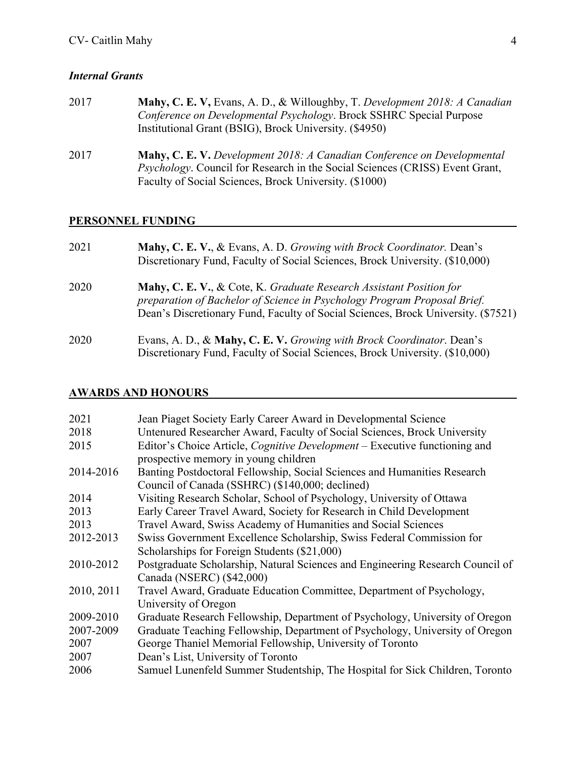# *Internal Grants*

| 2017 | Mahy, C. E. V, Evans, A. D., & Willoughby, T. Development 2018: A Canadian<br>Conference on Developmental Psychology. Brock SSHRC Special Purpose<br>Institutional Grant (BSIG), Brock University. (\$4950)                      |
|------|----------------------------------------------------------------------------------------------------------------------------------------------------------------------------------------------------------------------------------|
| 2017 | <b>Mahy, C. E. V.</b> Development 2018: A Canadian Conference on Developmental<br><i>Psychology</i> . Council for Research in the Social Sciences (CRISS) Event Grant,<br>Faculty of Social Sciences, Brock University. (\$1000) |

## **PERSONNEL FUNDING**

| 2021 | Mahy, C. E. V., & Evans, A. D. Growing with Brock Coordinator. Dean's<br>Discretionary Fund, Faculty of Social Sciences, Brock University. (\$10,000)                                                                                |
|------|--------------------------------------------------------------------------------------------------------------------------------------------------------------------------------------------------------------------------------------|
| 2020 | Mahy, C. E. V., & Cote, K. Graduate Research Assistant Position for<br>preparation of Bachelor of Science in Psychology Program Proposal Brief.<br>Dean's Discretionary Fund, Faculty of Social Sciences, Brock University. (\$7521) |
| 2020 | Evans, A. D., & Mahy, C. E. V. Growing with Brock Coordinator. Dean's<br>Discretionary Fund, Faculty of Social Sciences, Brock University. (\$10,000)                                                                                |

## **AWARDS AND HONOURS**

| 2021       | Jean Piaget Society Early Career Award in Developmental Science                   |
|------------|-----------------------------------------------------------------------------------|
| 2018       | Untenured Researcher Award, Faculty of Social Sciences, Brock University          |
| 2015       | Editor's Choice Article, <i>Cognitive Development</i> – Executive functioning and |
|            | prospective memory in young children                                              |
| 2014-2016  | Banting Postdoctoral Fellowship, Social Sciences and Humanities Research          |
|            | Council of Canada (SSHRC) (\$140,000; declined)                                   |
| 2014       | Visiting Research Scholar, School of Psychology, University of Ottawa             |
| 2013       | Early Career Travel Award, Society for Research in Child Development              |
| 2013       | Travel Award, Swiss Academy of Humanities and Social Sciences                     |
| 2012-2013  | Swiss Government Excellence Scholarship, Swiss Federal Commission for             |
|            | Scholarships for Foreign Students (\$21,000)                                      |
| 2010-2012  | Postgraduate Scholarship, Natural Sciences and Engineering Research Council of    |
|            | Canada (NSERC) (\$42,000)                                                         |
| 2010, 2011 | Travel Award, Graduate Education Committee, Department of Psychology,             |
|            | University of Oregon                                                              |
| 2009-2010  | Graduate Research Fellowship, Department of Psychology, University of Oregon      |
| 2007-2009  | Graduate Teaching Fellowship, Department of Psychology, University of Oregon      |
| 2007       | George Thaniel Memorial Fellowship, University of Toronto                         |
| 2007       | Dean's List, University of Toronto                                                |
| 2006       | Samuel Lunenfeld Summer Studentship, The Hospital for Sick Children, Toronto      |
|            |                                                                                   |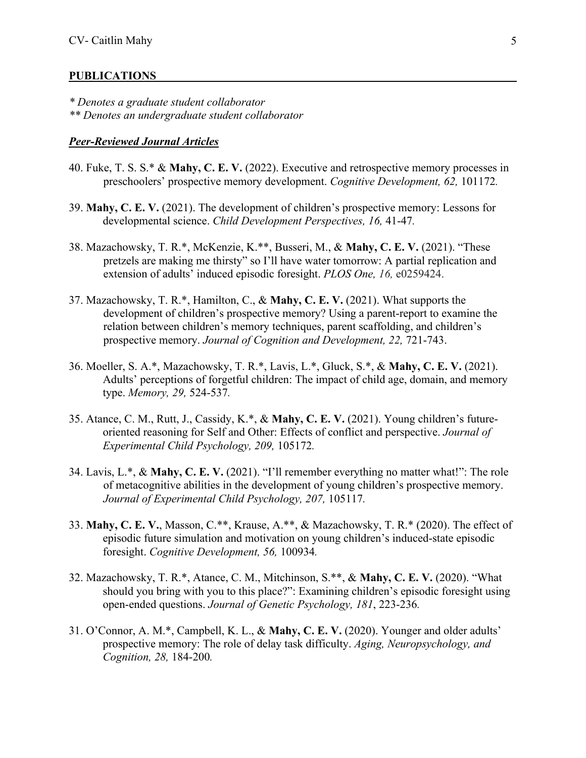#### **PUBLICATIONS**

*\* Denotes a graduate student collaborator \*\* Denotes an undergraduate student collaborator*

#### *Peer-Reviewed Journal Articles*

- 40. Fuke, T. S. S.\* & **Mahy, C. E. V.** (2022). Executive and retrospective memory processes in preschoolers' prospective memory development. *Cognitive Development, 62,* 101172*.*
- 39. **Mahy, C. E. V.** (2021). The development of children's prospective memory: Lessons for developmental science. *Child Development Perspectives, 16,* 41-47*.*
- 38. Mazachowsky, T. R.\*, McKenzie, K.\*\*, Busseri, M., & **Mahy, C. E. V.** (2021). "These pretzels are making me thirsty" so I'll have water tomorrow: A partial replication and extension of adults' induced episodic foresight. *PLOS One, 16,* e0259424.
- 37. Mazachowsky, T. R.\*, Hamilton, C., & **Mahy, C. E. V.** (2021). What supports the development of children's prospective memory? Using a parent-report to examine the relation between children's memory techniques, parent scaffolding, and children's prospective memory. *Journal of Cognition and Development, 22,* 721-743.
- 36. Moeller, S. A.\*, Mazachowsky, T. R.\*, Lavis, L.\*, Gluck, S.\*, & **Mahy, C. E. V.** (2021). Adults' perceptions of forgetful children: The impact of child age, domain, and memory type. *Memory, 29,* 524-537*.*
- 35. Atance, C. M., Rutt, J., Cassidy, K.\*, & **Mahy, C. E. V.** (2021). Young children's futureoriented reasoning for Self and Other: Effects of conflict and perspective. *Journal of Experimental Child Psychology, 209,* 105172*.*
- 34. Lavis, L.\*, & **Mahy, C. E. V.** (2021). "I'll remember everything no matter what!": The role of metacognitive abilities in the development of young children's prospective memory. *Journal of Experimental Child Psychology, 207,* 105117*.*
- 33. **Mahy, C. E. V.**, Masson, C.\*\*, Krause, A.\*\*, & Mazachowsky, T. R.\* (2020). The effect of episodic future simulation and motivation on young children's induced-state episodic foresight. *Cognitive Development, 56,* 100934*.*
- 32. Mazachowsky, T. R.\*, Atance, C. M., Mitchinson, S.\*\*, & **Mahy, C. E. V.** (2020). "What should you bring with you to this place?": Examining children's episodic foresight using open-ended questions. *Journal of Genetic Psychology, 181*, 223-236*.*
- 31. O'Connor, A. M.\*, Campbell, K. L., & **Mahy, C. E. V.** (2020). Younger and older adults' prospective memory: The role of delay task difficulty. *Aging, Neuropsychology, and Cognition, 28,* 184-200*.*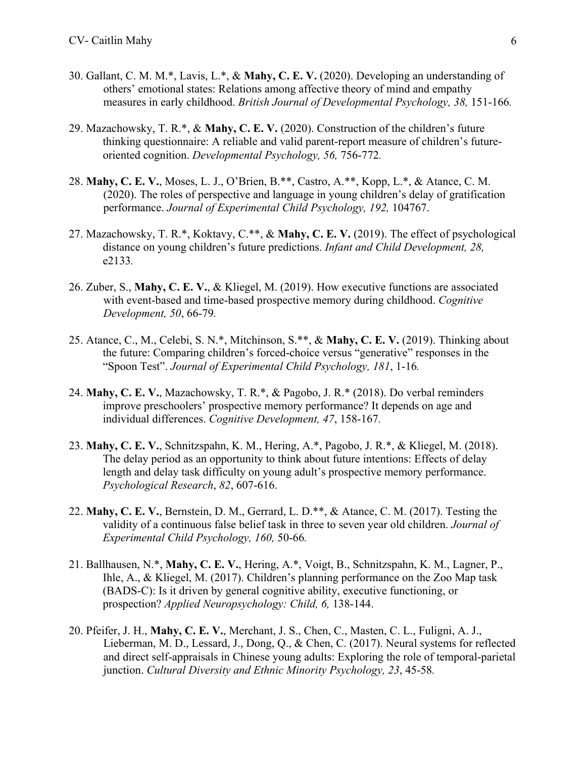- 30. Gallant, C. M. M.\*, Lavis, L.\*, & **Mahy, C. E. V.** (2020). Developing an understanding of others' emotional states: Relations among affective theory of mind and empathy measures in early childhood. *British Journal of Developmental Psychology, 38,* 151-166*.*
- 29. Mazachowsky, T. R.\*, & **Mahy, C. E. V.** (2020). Construction of the children's future thinking questionnaire: A reliable and valid parent-report measure of children's futureoriented cognition. *Developmental Psychology, 56,* 756-772*.*
- 28. **Mahy, C. E. V.**, Moses, L. J., O'Brien, B.\*\*, Castro, A.\*\*, Kopp, L.\*, & Atance, C. M. (2020). The roles of perspective and language in young children's delay of gratification performance. *Journal of Experimental Child Psychology, 192,* 104767.
- 27. Mazachowsky, T. R.\*, Koktavy, C.\*\*, & **Mahy, C. E. V.** (2019). The effect of psychological distance on young children's future predictions. *Infant and Child Development, 28,*  e2133*.*
- 26. Zuber, S., **Mahy, C. E. V.**, & Kliegel, M. (2019). How executive functions are associated with event-based and time-based prospective memory during childhood. *Cognitive Development, 50*, 66-79*.*
- 25. Atance, C., M., Celebi, S. N.\*, Mitchinson, S.\*\*, & **Mahy, C. E. V.** (2019). Thinking about the future: Comparing children's forced-choice versus "generative" responses in the "Spoon Test". *Journal of Experimental Child Psychology, 181*, 1-16*.*
- 24. **Mahy, C. E. V.**, Mazachowsky, T. R.\*, & Pagobo, J. R.\* (2018). Do verbal reminders improve preschoolers' prospective memory performance? It depends on age and individual differences. *Cognitive Development, 47*, 158-167*.*
- 23. **Mahy, C. E. V.**, Schnitzspahn, K. M., Hering, A.\*, Pagobo, J. R.\*, & Kliegel, M. (2018). The delay period as an opportunity to think about future intentions: Effects of delay length and delay task difficulty on young adult's prospective memory performance. *Psychological Research*, *82*, 607-616.
- 22. **Mahy, C. E. V.**, Bernstein, D. M., Gerrard, L. D.\*\*, & Atance, C. M. (2017). Testing the validity of a continuous false belief task in three to seven year old children. *Journal of Experimental Child Psychology, 160,* 50-66*.*
- 21. Ballhausen, N.\*, **Mahy, C. E. V.**, Hering, A.\*, Voigt, B., Schnitzspahn, K. M., Lagner, P., Ihle, A., & Kliegel, M. (2017). Children's planning performance on the Zoo Map task (BADS-C): Is it driven by general cognitive ability, executive functioning, or prospection? *Applied Neuropsychology: Child, 6,* 138-144.
- 20. Pfeifer, J. H., **Mahy, C. E. V.**, Merchant, J. S., Chen, C., Masten, C. L., Fuligni, A. J., Lieberman, M. D., Lessard, J., Dong, Q., & Chen, C. (2017). Neural systems for reflected and direct self-appraisals in Chinese young adults: Exploring the role of temporal-parietal junction. *Cultural Diversity and Ethnic Minority Psychology, 23*, 45-58*.*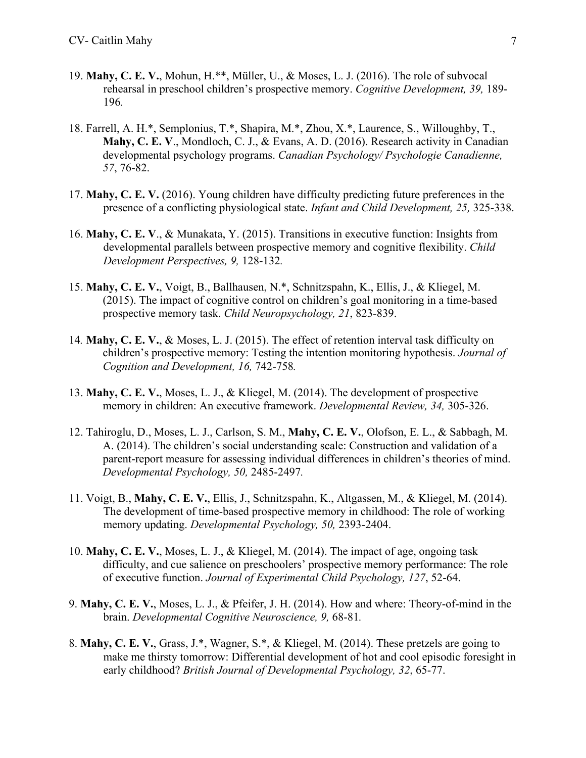- 19. **Mahy, C. E. V.**, Mohun, H.\*\*, Müller, U., & Moses, L. J. (2016). The role of subvocal rehearsal in preschool children's prospective memory. *Cognitive Development, 39,* 189- 196*.*
- 18. Farrell, A. H.\*, Semplonius, T.\*, Shapira, M.\*, Zhou, X.\*, Laurence, S., Willoughby, T., **Mahy, C. E. V**., Mondloch, C. J., & Evans, A. D. (2016). Research activity in Canadian developmental psychology programs. *Canadian Psychology/ Psychologie Canadienne, 57*, 76-82.
- 17. **Mahy, C. E. V.** (2016). Young children have difficulty predicting future preferences in the presence of a conflicting physiological state. *Infant and Child Development, 25,* 325-338.
- 16. **Mahy, C. E. V**., & Munakata, Y. (2015). Transitions in executive function: Insights from developmental parallels between prospective memory and cognitive flexibility. *Child Development Perspectives, 9,* 128-132*.*
- 15. **Mahy, C. E. V.**, Voigt, B., Ballhausen, N.\*, Schnitzspahn, K., Ellis, J., & Kliegel, M. (2015). The impact of cognitive control on children's goal monitoring in a time-based prospective memory task. *Child Neuropsychology, 21*, 823-839.
- 14*.* **Mahy, C. E. V.**, & Moses, L. J. (2015). The effect of retention interval task difficulty on children's prospective memory: Testing the intention monitoring hypothesis. *Journal of Cognition and Development, 16,* 742-758*.*
- 13. **Mahy, C. E. V.**, Moses, L. J., & Kliegel, M. (2014). The development of prospective memory in children: An executive framework. *Developmental Review, 34,* 305-326.
- 12. Tahiroglu, D., Moses, L. J., Carlson, S. M., **Mahy, C. E. V.**, Olofson, E. L., & Sabbagh, M. A. (2014). The children's social understanding scale: Construction and validation of a parent-report measure for assessing individual differences in children's theories of mind. *Developmental Psychology, 50,* 2485-2497*.*
- 11. Voigt, B., **Mahy, C. E. V.**, Ellis, J., Schnitzspahn, K., Altgassen, M., & Kliegel, M. (2014). The development of time-based prospective memory in childhood: The role of working memory updating. *Developmental Psychology, 50,* 2393-2404.
- 10. **Mahy, C. E. V.**, Moses, L. J., & Kliegel, M. (2014). The impact of age, ongoing task difficulty, and cue salience on preschoolers' prospective memory performance: The role of executive function. *Journal of Experimental Child Psychology, 127*, 52-64.
- 9. **Mahy, C. E. V.**, Moses, L. J., & Pfeifer, J. H. (2014). How and where: Theory-of-mind in the brain. *Developmental Cognitive Neuroscience, 9,* 68-81*.*
- 8. **Mahy, C. E. V.**, Grass, J.\*, Wagner, S.\*, & Kliegel, M. (2014). These pretzels are going to make me thirsty tomorrow: Differential development of hot and cool episodic foresight in early childhood? *British Journal of Developmental Psychology, 32*, 65-77.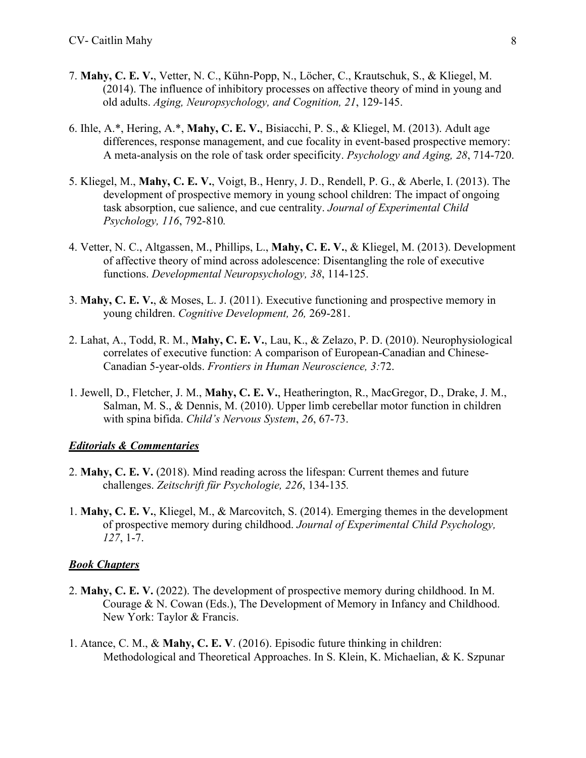- 7. **Mahy, C. E. V.**, Vetter, N. C., Kühn-Popp, N., Löcher, C., Krautschuk, S., & Kliegel, M. (2014). The influence of inhibitory processes on affective theory of mind in young and old adults. *Aging, Neuropsychology, and Cognition, 21*, 129-145.
- 6. Ihle, A.\*, Hering, A.\*, **Mahy, C. E. V.**, Bisiacchi, P. S., & Kliegel, M. (2013). Adult age differences, response management, and cue focality in event-based prospective memory: A meta-analysis on the role of task order specificity. *Psychology and Aging, 28*, 714-720.
- 5. Kliegel, M., **Mahy, C. E. V.**, Voigt, B., Henry, J. D., Rendell, P. G., & Aberle, I. (2013). The development of prospective memory in young school children: The impact of ongoing task absorption, cue salience, and cue centrality. *Journal of Experimental Child Psychology, 116*, 792-810*.*
- 4. Vetter, N. C., Altgassen, M., Phillips, L., **Mahy, C. E. V.**, & Kliegel, M. (2013). Development of affective theory of mind across adolescence: Disentangling the role of executive functions. *Developmental Neuropsychology, 38*, 114-125.
- 3. **Mahy, C. E. V.**, & Moses, L. J. (2011). Executive functioning and prospective memory in young children. *Cognitive Development, 26,* 269-281.
- 2. Lahat, A., Todd, R. M., **Mahy, C. E. V.**, Lau, K., & Zelazo, P. D. (2010). Neurophysiological correlates of executive function: A comparison of European-Canadian and Chinese-Canadian 5-year-olds. *Frontiers in Human Neuroscience, 3:*72.
- 1. Jewell, D., Fletcher, J. M., **Mahy, C. E. V.**, Heatherington, R., MacGregor, D., Drake, J. M., Salman, M. S., & Dennis, M. (2010). Upper limb cerebellar motor function in children with spina bifida. *Child's Nervous System*, *26*, 67-73.

#### *Editorials & Commentaries*

- 2. **Mahy, C. E. V.** (2018). Mind reading across the lifespan: Current themes and future challenges. *Zeitschrift für Psychologie, 226*, 134-135*.*
- 1. **Mahy, C. E. V.**, Kliegel, M., & Marcovitch, S. (2014). Emerging themes in the development of prospective memory during childhood. *Journal of Experimental Child Psychology, 127*, 1-7.

### *Book Chapters*

- 2. **Mahy, C. E. V.** (2022). The development of prospective memory during childhood. In M. Courage & N. Cowan (Eds.), The Development of Memory in Infancy and Childhood. New York: Taylor & Francis.
- 1. Atance, C. M., & **Mahy, C. E. V**. (2016). Episodic future thinking in children: Methodological and Theoretical Approaches. In S. Klein, K. Michaelian, & K. Szpunar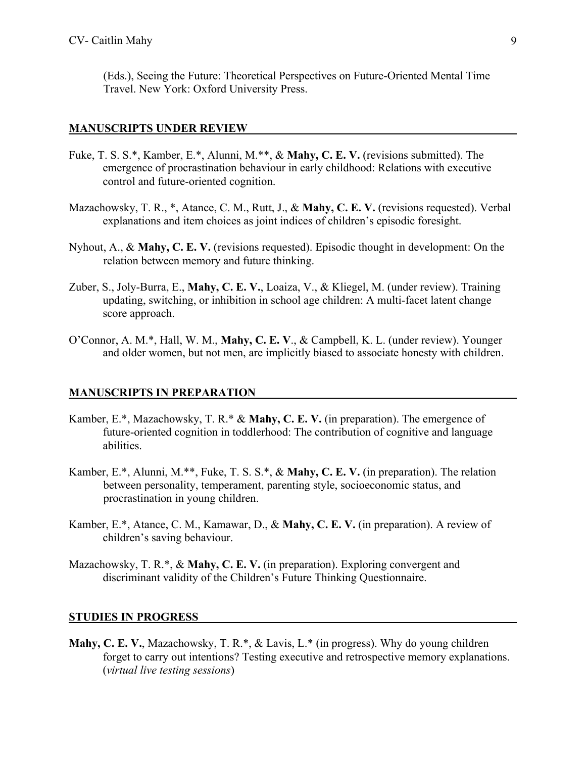(Eds.), Seeing the Future: Theoretical Perspectives on Future-Oriented Mental Time Travel. New York: Oxford University Press.

#### **MANUSCRIPTS UNDER REVIEW**

- Fuke, T. S. S.\*, Kamber, E.\*, Alunni, M.\*\*, & **Mahy, C. E. V.** (revisions submitted). The emergence of procrastination behaviour in early childhood: Relations with executive control and future-oriented cognition.
- Mazachowsky, T. R., \*, Atance, C. M., Rutt, J., & **Mahy, C. E. V.** (revisions requested). Verbal explanations and item choices as joint indices of children's episodic foresight.
- Nyhout, A., & **Mahy, C. E. V.** (revisions requested). Episodic thought in development: On the relation between memory and future thinking.
- Zuber, S., Joly-Burra, E., **Mahy, C. E. V.**, Loaiza, V., & Kliegel, M. (under review). Training updating, switching, or inhibition in school age children: A multi-facet latent change score approach.
- O'Connor, A. M.\*, Hall, W. M., **Mahy, C. E. V**., & Campbell, K. L. (under review). Younger and older women, but not men, are implicitly biased to associate honesty with children.

#### **MANUSCRIPTS IN PREPARATION**

- Kamber, E.\*, Mazachowsky, T. R.\* & **Mahy, C. E. V.** (in preparation). The emergence of future-oriented cognition in toddlerhood: The contribution of cognitive and language abilities.
- Kamber, E.\*, Alunni, M.\*\*, Fuke, T. S. S.\*, & **Mahy, C. E. V.** (in preparation). The relation between personality, temperament, parenting style, socioeconomic status, and procrastination in young children.
- Kamber, E.\*, Atance, C. M., Kamawar, D., & **Mahy, C. E. V.** (in preparation). A review of children's saving behaviour.
- Mazachowsky, T. R.\*, & **Mahy, C. E. V.** (in preparation). Exploring convergent and discriminant validity of the Children's Future Thinking Questionnaire.

#### **STUDIES IN PROGRESS**

**Mahy, C. E. V.**, Mazachowsky, T. R.\*, & Lavis, L.\* (in progress). Why do young children forget to carry out intentions? Testing executive and retrospective memory explanations. (*virtual live testing sessions*)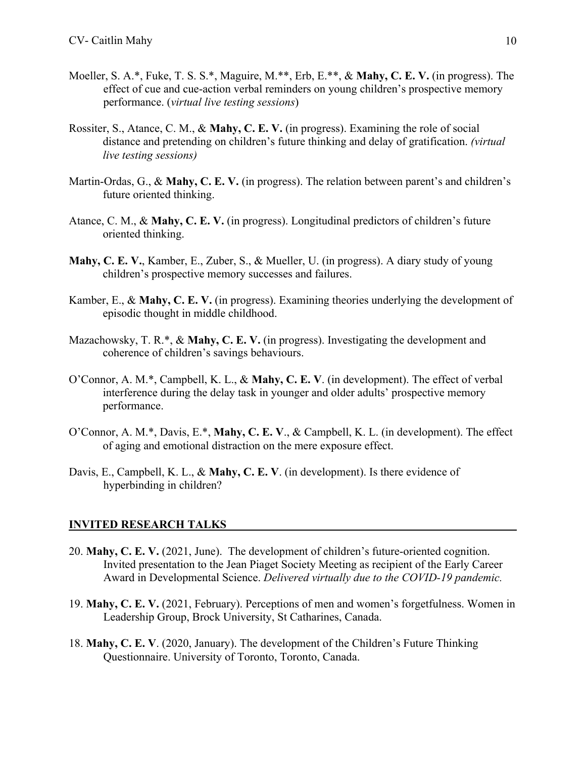- Moeller, S. A.\*, Fuke, T. S. S.\*, Maguire, M.\*\*, Erb, E.\*\*, & **Mahy, C. E. V.** (in progress). The effect of cue and cue-action verbal reminders on young children's prospective memory performance. (*virtual live testing sessions*)
- Rossiter, S., Atance, C. M., & **Mahy, C. E. V.** (in progress). Examining the role of social distance and pretending on children's future thinking and delay of gratification. *(virtual live testing sessions)*
- Martin-Ordas, G., & **Mahy, C. E. V.** (in progress). The relation between parent's and children's future oriented thinking.
- Atance, C. M., & **Mahy, C. E. V.** (in progress). Longitudinal predictors of children's future oriented thinking.
- **Mahy, C. E. V.**, Kamber, E., Zuber, S., & Mueller, U. (in progress). A diary study of young children's prospective memory successes and failures.
- Kamber, E., & **Mahy, C. E. V.** (in progress). Examining theories underlying the development of episodic thought in middle childhood.
- Mazachowsky, T. R.\*, & **Mahy, C. E. V.** (in progress). Investigating the development and coherence of children's savings behaviours.
- O'Connor, A. M.\*, Campbell, K. L., & **Mahy, C. E. V**. (in development). The effect of verbal interference during the delay task in younger and older adults' prospective memory performance.
- O'Connor, A. M.\*, Davis, E.\*, **Mahy, C. E. V**., & Campbell, K. L. (in development). The effect of aging and emotional distraction on the mere exposure effect.
- Davis, E., Campbell, K. L., & **Mahy, C. E. V**. (in development). Is there evidence of hyperbinding in children?

#### **INVITED RESEARCH TALKS**

- 20. **Mahy, C. E. V.** (2021, June). The development of children's future-oriented cognition. Invited presentation to the Jean Piaget Society Meeting as recipient of the Early Career Award in Developmental Science. *Delivered virtually due to the COVID-19 pandemic.*
- 19. **Mahy, C. E. V.** (2021, February). Perceptions of men and women's forgetfulness. Women in Leadership Group, Brock University, St Catharines, Canada.
- 18. **Mahy, C. E. V**. (2020, January). The development of the Children's Future Thinking Questionnaire. University of Toronto, Toronto, Canada.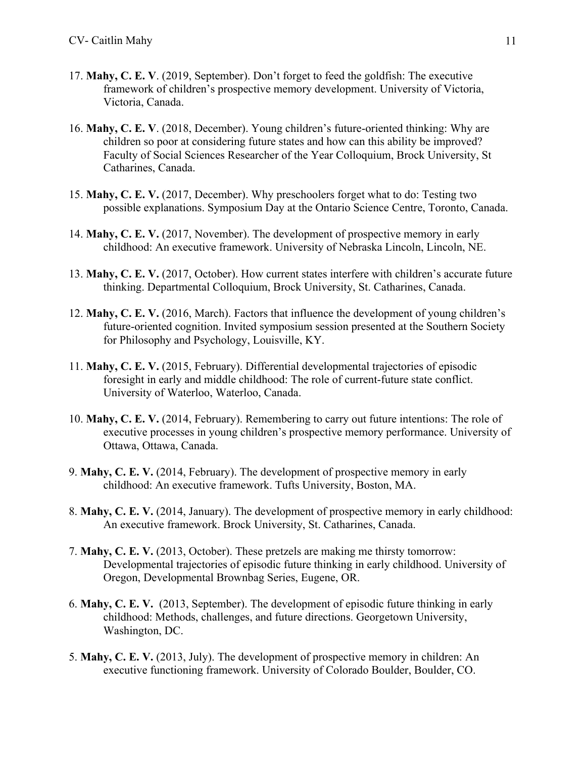- 17. **Mahy, C. E. V**. (2019, September). Don't forget to feed the goldfish: The executive framework of children's prospective memory development. University of Victoria, Victoria, Canada.
- 16. **Mahy, C. E. V**. (2018, December). Young children's future-oriented thinking: Why are children so poor at considering future states and how can this ability be improved? Faculty of Social Sciences Researcher of the Year Colloquium, Brock University, St Catharines, Canada.
- 15. **Mahy, C. E. V.** (2017, December). Why preschoolers forget what to do: Testing two possible explanations. Symposium Day at the Ontario Science Centre, Toronto, Canada.
- 14. **Mahy, C. E. V.** (2017, November). The development of prospective memory in early childhood: An executive framework. University of Nebraska Lincoln, Lincoln, NE.
- 13. **Mahy, C. E. V.** (2017, October). How current states interfere with children's accurate future thinking. Departmental Colloquium, Brock University, St. Catharines, Canada.
- 12. **Mahy, C. E. V.** (2016, March). Factors that influence the development of young children's future-oriented cognition. Invited symposium session presented at the Southern Society for Philosophy and Psychology, Louisville, KY.
- 11. **Mahy, C. E. V.** (2015, February). Differential developmental trajectories of episodic foresight in early and middle childhood: The role of current-future state conflict. University of Waterloo, Waterloo, Canada.
- 10. **Mahy, C. E. V.** (2014, February). Remembering to carry out future intentions: The role of executive processes in young children's prospective memory performance. University of Ottawa, Ottawa, Canada.
- 9. **Mahy, C. E. V.** (2014, February). The development of prospective memory in early childhood: An executive framework. Tufts University, Boston, MA.
- 8. **Mahy, C. E. V.** (2014, January). The development of prospective memory in early childhood: An executive framework. Brock University, St. Catharines, Canada.
- 7. **Mahy, C. E. V.** (2013, October). These pretzels are making me thirsty tomorrow: Developmental trajectories of episodic future thinking in early childhood. University of Oregon, Developmental Brownbag Series, Eugene, OR.
- 6. **Mahy, C. E. V.** (2013, September). The development of episodic future thinking in early childhood: Methods, challenges, and future directions. Georgetown University, Washington, DC.
- 5. **Mahy, C. E. V.** (2013, July). The development of prospective memory in children: An executive functioning framework. University of Colorado Boulder, Boulder, CO.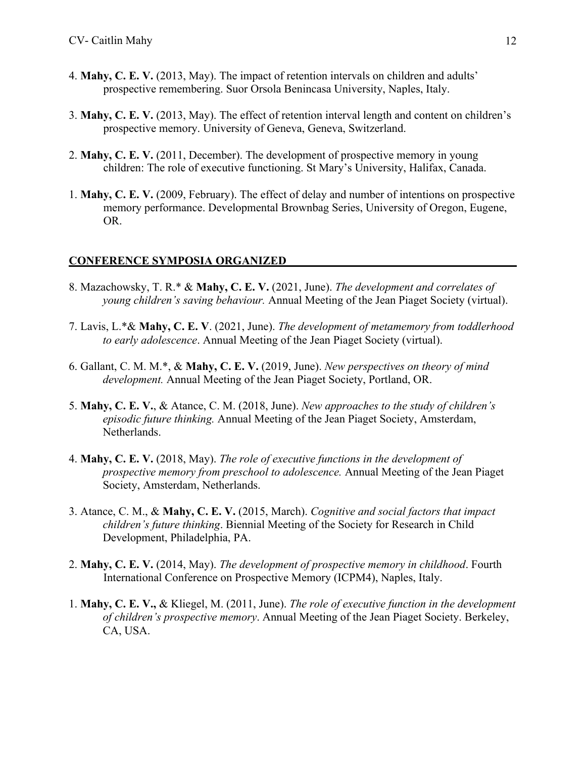- 4. **Mahy, C. E. V.** (2013, May). The impact of retention intervals on children and adults' prospective remembering. Suor Orsola Benincasa University, Naples, Italy.
- 3. **Mahy, C. E. V.** (2013, May). The effect of retention interval length and content on children's prospective memory. University of Geneva, Geneva, Switzerland.
- 2. **Mahy, C. E. V.** (2011, December). The development of prospective memory in young children: The role of executive functioning. St Mary's University, Halifax, Canada.
- 1. **Mahy, C. E. V.** (2009, February). The effect of delay and number of intentions on prospective memory performance. Developmental Brownbag Series, University of Oregon, Eugene, OR.

## **CONFERENCE SYMPOSIA ORGANIZED**

- 8. Mazachowsky, T. R.\* & **Mahy, C. E. V.** (2021, June). *The development and correlates of young children's saving behaviour.* Annual Meeting of the Jean Piaget Society (virtual).
- 7. Lavis, L.\*& **Mahy, C. E. V**. (2021, June). *The development of metamemory from toddlerhood to early adolescence*. Annual Meeting of the Jean Piaget Society (virtual).
- 6. Gallant, C. M. M.\*, & **Mahy, C. E. V.** (2019, June). *New perspectives on theory of mind development.* Annual Meeting of the Jean Piaget Society, Portland, OR.
- 5. **Mahy, C. E. V.**, & Atance, C. M. (2018, June). *New approaches to the study of children's episodic future thinking.* Annual Meeting of the Jean Piaget Society, Amsterdam, Netherlands.
- 4. **Mahy, C. E. V.** (2018, May). *The role of executive functions in the development of prospective memory from preschool to adolescence.* Annual Meeting of the Jean Piaget Society, Amsterdam, Netherlands.
- 3. Atance, C. M., & **Mahy, C. E. V.** (2015, March). *Cognitive and social factors that impact children's future thinking*. Biennial Meeting of the Society for Research in Child Development, Philadelphia, PA.
- 2. **Mahy, C. E. V.** (2014, May). *The development of prospective memory in childhood*. Fourth International Conference on Prospective Memory (ICPM4), Naples, Italy.
- 1. **Mahy, C. E. V.,** & Kliegel, M. (2011, June). *The role of executive function in the development of children's prospective memory*. Annual Meeting of the Jean Piaget Society. Berkeley, CA, USA.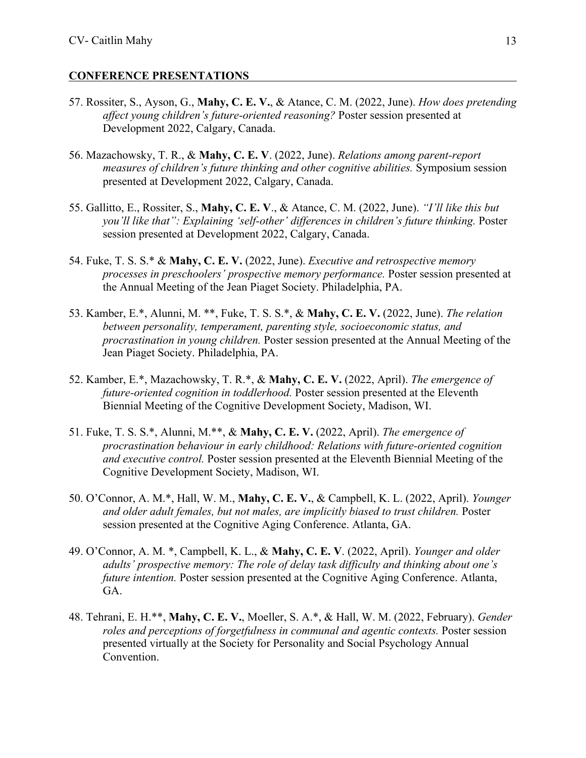### **CONFERENCE PRESENTATIONS**

- 57. Rossiter, S., Ayson, G., **Mahy, C. E. V.**, & Atance, C. M. (2022, June). *How does pretending affect young children's future-oriented reasoning?* Poster session presented at Development 2022, Calgary, Canada.
- 56. Mazachowsky, T. R., & **Mahy, C. E. V**. (2022, June). *Relations among parent-report measures of children's future thinking and other cognitive abilities.* Symposium session presented at Development 2022, Calgary, Canada.
- 55. Gallitto, E., Rossiter, S., **Mahy, C. E. V**., & Atance, C. M. (2022, June). *"I'll like this but you'll like that": Explaining 'self-other' differences in children's future thinking. Poster* session presented at Development 2022, Calgary, Canada.
- 54. Fuke, T. S. S.\* & **Mahy, C. E. V.** (2022, June). *Executive and retrospective memory processes in preschoolers' prospective memory performance.* Poster session presented at the Annual Meeting of the Jean Piaget Society. Philadelphia, PA.
- 53. Kamber, E.\*, Alunni, M. \*\*, Fuke, T. S. S.\*, & **Mahy, C. E. V.** (2022, June). *The relation between personality, temperament, parenting style, socioeconomic status, and procrastination in young children.* Poster session presented at the Annual Meeting of the Jean Piaget Society. Philadelphia, PA.
- 52. Kamber, E.\*, Mazachowsky, T. R.\*, & **Mahy, C. E. V.** (2022, April). *The emergence of future-oriented cognition in toddlerhood.* Poster session presented at the Eleventh Biennial Meeting of the Cognitive Development Society, Madison, WI.
- 51. Fuke, T. S. S.\*, Alunni, M.\*\*, & **Mahy, C. E. V.** (2022, April). *The emergence of procrastination behaviour in early childhood: Relations with future-oriented cognition and executive control.* Poster session presented at the Eleventh Biennial Meeting of the Cognitive Development Society, Madison, WI.
- 50. O'Connor, A. M.\*, Hall, W. M., **Mahy, C. E. V.**, & Campbell, K. L. (2022, April). *Younger and older adult females, but not males, are implicitly biased to trust children.* Poster session presented at the Cognitive Aging Conference. Atlanta, GA.
- 49. O'Connor, A. M. \*, Campbell, K. L., & **Mahy, C. E. V**. (2022, April). *Younger and older adults' prospective memory: The role of delay task difficulty and thinking about one's future intention.* Poster session presented at the Cognitive Aging Conference. Atlanta, GA.
- 48. Tehrani, E. H.\*\*, **Mahy, C. E. V.**, Moeller, S. A.\*, & Hall, W. M. (2022, February). *Gender roles and perceptions of forgetfulness in communal and agentic contexts.* Poster session presented virtually at the Society for Personality and Social Psychology Annual Convention.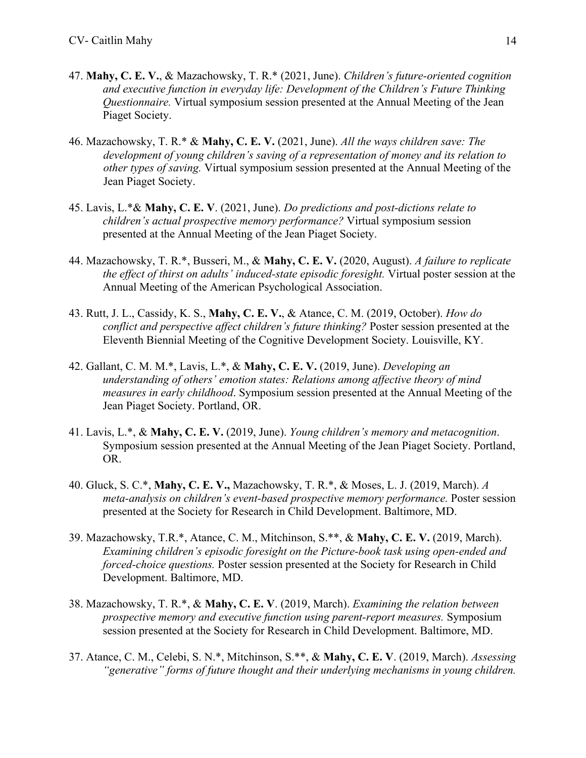- 47. **Mahy, C. E. V.**, & Mazachowsky, T. R.\* (2021, June). *Children's future-oriented cognition and executive function in everyday life: Development of the Children's Future Thinking Questionnaire.* Virtual symposium session presented at the Annual Meeting of the Jean Piaget Society.
- 46. Mazachowsky, T. R.\* & **Mahy, C. E. V.** (2021, June). *All the ways children save: The development of young children's saving of a representation of money and its relation to other types of saving.* Virtual symposium session presented at the Annual Meeting of the Jean Piaget Society.
- 45. Lavis, L.\*& **Mahy, C. E. V**. (2021, June). *Do predictions and post-dictions relate to children's actual prospective memory performance?* Virtual symposium session presented at the Annual Meeting of the Jean Piaget Society.
- 44. Mazachowsky, T. R.\*, Busseri, M., & **Mahy, C. E. V.** (2020, August). *A failure to replicate the effect of thirst on adults' induced-state episodic foresight.* Virtual poster session at the Annual Meeting of the American Psychological Association.
- 43. Rutt, J. L., Cassidy, K. S., **Mahy, C. E. V.**, & Atance, C. M. (2019, October). *How do conflict and perspective affect children's future thinking?* Poster session presented at the Eleventh Biennial Meeting of the Cognitive Development Society. Louisville, KY.
- 42. Gallant, C. M. M.\*, Lavis, L.\*, & **Mahy, C. E. V.** (2019, June). *Developing an understanding of others' emotion states: Relations among affective theory of mind measures in early childhood*. Symposium session presented at the Annual Meeting of the Jean Piaget Society. Portland, OR.
- 41. Lavis, L.\*, & **Mahy, C. E. V.** (2019, June). *Young children's memory and metacognition*. Symposium session presented at the Annual Meeting of the Jean Piaget Society. Portland, OR.
- 40. Gluck, S. C.\*, **Mahy, C. E. V.,** Mazachowsky, T. R.\*, & Moses, L. J. (2019, March). *A meta-analysis on children's event-based prospective memory performance.* Poster session presented at the Society for Research in Child Development. Baltimore, MD.
- 39. Mazachowsky, T.R.\*, Atance, C. M., Mitchinson, S.\*\*, & **Mahy, C. E. V.** (2019, March). *Examining children's episodic foresight on the Picture-book task using open-ended and forced-choice questions.* Poster session presented at the Society for Research in Child Development. Baltimore, MD.
- 38. Mazachowsky, T. R.\*, & **Mahy, C. E. V**. (2019, March). *Examining the relation between prospective memory and executive function using parent-report measures.* Symposium session presented at the Society for Research in Child Development. Baltimore, MD.
- 37. Atance, C. M., Celebi, S. N.\*, Mitchinson, S.\*\*, & **Mahy, C. E. V**. (2019, March). *Assessing "generative" forms of future thought and their underlying mechanisms in young children.*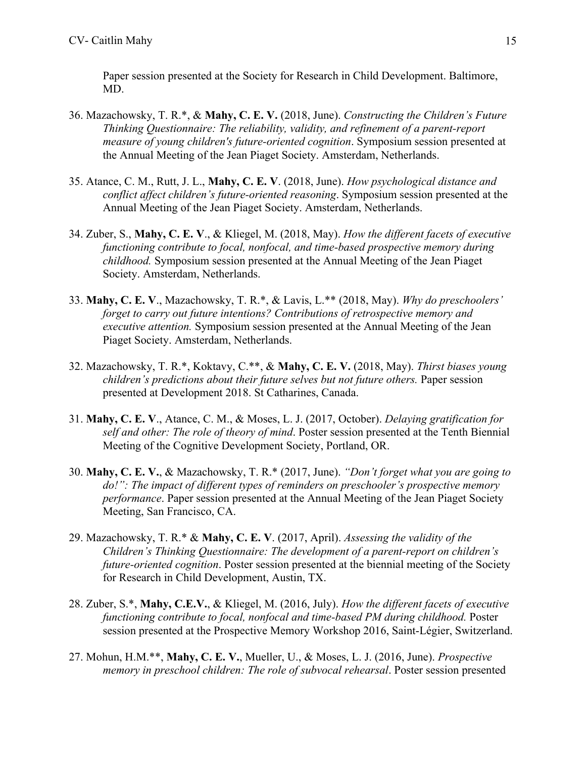Paper session presented at the Society for Research in Child Development. Baltimore, MD.

- 36. Mazachowsky, T. R.\*, & **Mahy, C. E. V.** (2018, June). *Constructing the Children's Future Thinking Questionnaire: The reliability, validity, and refinement of a parent-report measure of young children's future-oriented cognition*. Symposium session presented at the Annual Meeting of the Jean Piaget Society. Amsterdam, Netherlands.
- 35. Atance, C. M., Rutt, J. L., **Mahy, C. E. V**. (2018, June). *How psychological distance and conflict affect children's future-oriented reasoning*. Symposium session presented at the Annual Meeting of the Jean Piaget Society. Amsterdam, Netherlands.
- 34. Zuber, S., **Mahy, C. E. V**., & Kliegel, M. (2018, May). *How the different facets of executive functioning contribute to focal, nonfocal, and time-based prospective memory during childhood.* Symposium session presented at the Annual Meeting of the Jean Piaget Society. Amsterdam, Netherlands.
- 33. **Mahy, C. E. V**., Mazachowsky, T. R.\*, & Lavis, L.\*\* (2018, May). *Why do preschoolers' forget to carry out future intentions? Contributions of retrospective memory and executive attention.* Symposium session presented at the Annual Meeting of the Jean Piaget Society. Amsterdam, Netherlands.
- 32. Mazachowsky, T. R.\*, Koktavy, C.\*\*, & **Mahy, C. E. V.** (2018, May). *Thirst biases young children's predictions about their future selves but not future others.* Paper session presented at Development 2018. St Catharines, Canada.
- 31. **Mahy, C. E. V**., Atance, C. M., & Moses, L. J. (2017, October). *Delaying gratification for self and other: The role of theory of mind*. Poster session presented at the Tenth Biennial Meeting of the Cognitive Development Society, Portland, OR.
- 30. **Mahy, C. E. V.**, & Mazachowsky, T. R.\* (2017, June). *"Don't forget what you are going to do!": The impact of different types of reminders on preschooler's prospective memory performance*. Paper session presented at the Annual Meeting of the Jean Piaget Society Meeting, San Francisco, CA.
- 29. Mazachowsky, T. R.\* & **Mahy, C. E. V**. (2017, April). *Assessing the validity of the Children's Thinking Questionnaire: The development of a parent-report on children's future-oriented cognition*. Poster session presented at the biennial meeting of the Society for Research in Child Development, Austin, TX.
- 28. Zuber, S.\*, **Mahy, C.E.V.**, & Kliegel, M. (2016, July). *How the different facets of executive functioning contribute to focal, nonfocal and time-based PM during childhood.* Poster session presented at the Prospective Memory Workshop 2016, Saint-Légier, Switzerland.
- 27. Mohun, H.M.\*\*, **Mahy, C. E. V.**, Mueller, U., & Moses, L. J. (2016, June). *Prospective memory in preschool children: The role of subvocal rehearsal*. Poster session presented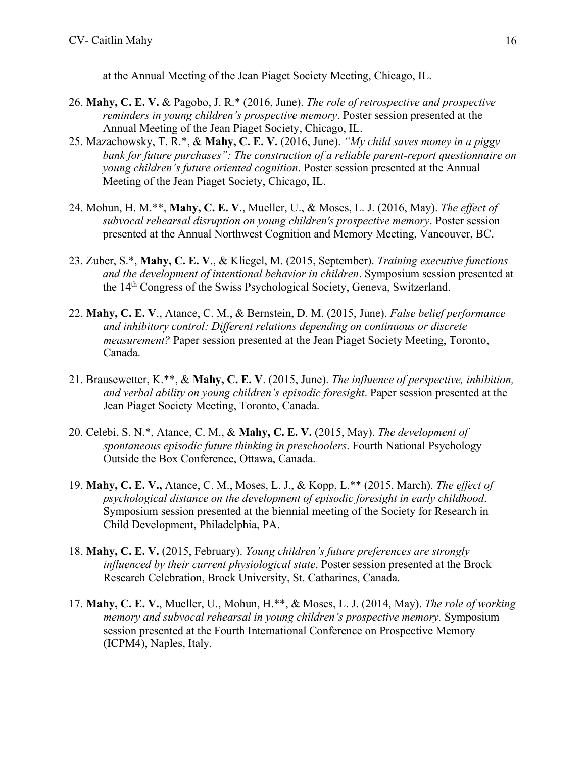at the Annual Meeting of the Jean Piaget Society Meeting, Chicago, IL.

- 26. **Mahy, C. E. V.** & Pagobo, J. R.\* (2016, June). *The role of retrospective and prospective reminders in young children's prospective memory*. Poster session presented at the Annual Meeting of the Jean Piaget Society, Chicago, IL.
- 25. Mazachowsky, T. R.\*, & **Mahy, C. E. V.** (2016, June). *"My child saves money in a piggy bank for future purchases": The construction of a reliable parent-report questionnaire on young children's future oriented cognition*. Poster session presented at the Annual Meeting of the Jean Piaget Society, Chicago, IL.
- 24. Mohun, H. M.\*\*, **Mahy, C. E. V**., Mueller, U., & Moses, L. J. (2016, May). *The effect of subvocal rehearsal disruption on young children's prospective memory*. Poster session presented at the Annual Northwest Cognition and Memory Meeting, Vancouver, BC.
- 23. Zuber, S.\*, **Mahy, C. E. V**., & Kliegel, M. (2015, September). *Training executive functions and the development of intentional behavior in children*. Symposium session presented at the 14th Congress of the Swiss Psychological Society, Geneva, Switzerland.
- 22. **Mahy, C. E. V**., Atance, C. M., & Bernstein, D. M. (2015, June). *False belief performance and inhibitory control: Different relations depending on continuous or discrete measurement?* Paper session presented at the Jean Piaget Society Meeting, Toronto, Canada.
- 21. Brausewetter, K.\*\*, & **Mahy, C. E. V**. (2015, June). *The influence of perspective, inhibition, and verbal ability on young children's episodic foresight*. Paper session presented at the Jean Piaget Society Meeting, Toronto, Canada.
- 20. Celebi, S. N.\*, Atance, C. M., & **Mahy, C. E. V.** (2015, May). *The development of spontaneous episodic future thinking in preschoolers*. Fourth National Psychology Outside the Box Conference, Ottawa, Canada.
- 19. **Mahy, C. E. V.,** Atance, C. M., Moses, L. J., & Kopp, L.\*\* (2015, March). *The effect of psychological distance on the development of episodic foresight in early childhood*. Symposium session presented at the biennial meeting of the Society for Research in Child Development, Philadelphia, PA.
- 18. **Mahy, C. E. V.** (2015, February). *Young children's future preferences are strongly influenced by their current physiological state*. Poster session presented at the Brock Research Celebration, Brock University, St. Catharines, Canada.
- 17. **Mahy, C. E. V.**, Mueller, U., Mohun, H.\*\*, & Moses, L. J. (2014, May). *The role of working memory and subvocal rehearsal in young children's prospective memory.* Symposium session presented at the Fourth International Conference on Prospective Memory (ICPM4), Naples, Italy.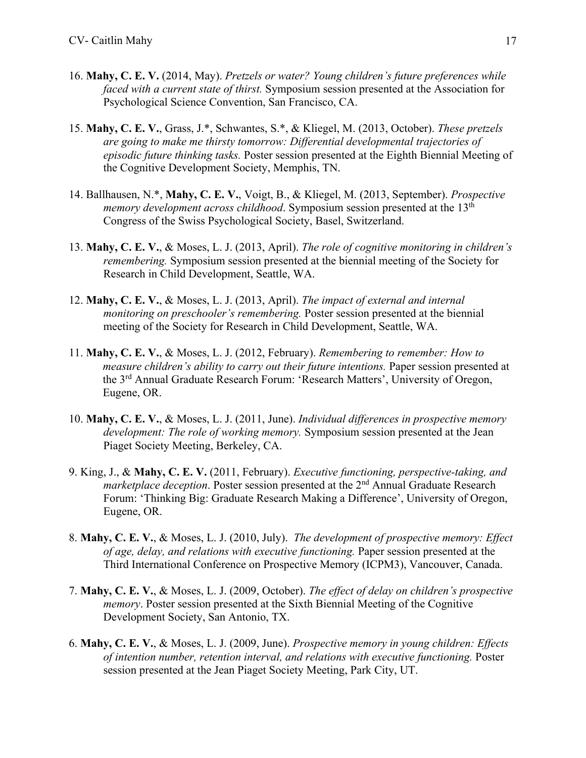- 16. **Mahy, C. E. V.** (2014, May). *Pretzels or water? Young children's future preferences while faced with a current state of thirst.* Symposium session presented at the Association for Psychological Science Convention, San Francisco, CA.
- 15. **Mahy, C. E. V.**, Grass, J.\*, Schwantes, S.\*, & Kliegel, M. (2013, October). *These pretzels are going to make me thirsty tomorrow: Differential developmental trajectories of episodic future thinking tasks.* Poster session presented at the Eighth Biennial Meeting of the Cognitive Development Society, Memphis, TN.
- 14. Ballhausen, N.\*, **Mahy, C. E. V.**, Voigt, B., & Kliegel, M. (2013, September). *Prospective memory development across childhood*. Symposium session presented at the 13<sup>th</sup> Congress of the Swiss Psychological Society, Basel, Switzerland.
- 13. **Mahy, C. E. V.**, & Moses, L. J. (2013, April). *The role of cognitive monitoring in children's remembering.* Symposium session presented at the biennial meeting of the Society for Research in Child Development, Seattle, WA.
- 12. **Mahy, C. E. V.**, & Moses, L. J. (2013, April). *The impact of external and internal monitoring on preschooler's remembering.* Poster session presented at the biennial meeting of the Society for Research in Child Development, Seattle, WA.
- 11. **Mahy, C. E. V.**, & Moses, L. J. (2012, February). *Remembering to remember: How to measure children's ability to carry out their future intentions.* Paper session presented at the 3rd Annual Graduate Research Forum: 'Research Matters', University of Oregon, Eugene, OR.
- 10. **Mahy, C. E. V.**, & Moses, L. J. (2011, June). *Individual differences in prospective memory development: The role of working memory.* Symposium session presented at the Jean Piaget Society Meeting, Berkeley, CA.
- 9. King, J., & **Mahy, C. E. V.** (2011, February). *Executive functioning, perspective-taking, and marketplace deception*. Poster session presented at the 2<sup>nd</sup> Annual Graduate Research Forum: 'Thinking Big: Graduate Research Making a Difference', University of Oregon, Eugene, OR.
- 8. **Mahy, C. E. V.**, & Moses, L. J. (2010, July). *The development of prospective memory: Effect of age, delay, and relations with executive functioning.* Paper session presented at the Third International Conference on Prospective Memory (ICPM3), Vancouver, Canada.
- 7. **Mahy, C. E. V.**, & Moses, L. J. (2009, October). *The effect of delay on children's prospective memory*. Poster session presented at the Sixth Biennial Meeting of the Cognitive Development Society, San Antonio, TX.
- 6. **Mahy, C. E. V.**, & Moses, L. J. (2009, June). *Prospective memory in young children: Effects of intention number, retention interval, and relations with executive functioning.* Poster session presented at the Jean Piaget Society Meeting, Park City, UT.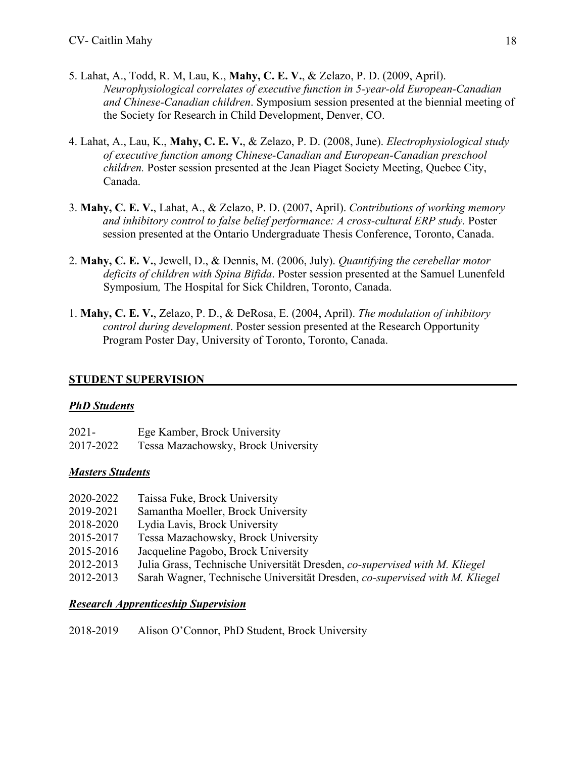- 5. Lahat, A., Todd, R. M, Lau, K., **Mahy, C. E. V.**, & Zelazo, P. D. (2009, April). *Neurophysiological correlates of executive function in 5-year-old European-Canadian and Chinese-Canadian children*. Symposium session presented at the biennial meeting of the Society for Research in Child Development, Denver, CO.
- 4. Lahat, A., Lau, K., **Mahy, C. E. V.**, & Zelazo, P. D. (2008, June). *Electrophysiological study of executive function among Chinese-Canadian and European-Canadian preschool children.* Poster session presented at the Jean Piaget Society Meeting, Quebec City, Canada.
- 3. **Mahy, C. E. V.**, Lahat, A., & Zelazo, P. D. (2007, April). *Contributions of working memory and inhibitory control to false belief performance: A cross-cultural ERP study.* Poster session presented at the Ontario Undergraduate Thesis Conference, Toronto, Canada.
- 2. **Mahy, C. E. V.**, Jewell, D., & Dennis, M. (2006, July). *Quantifying the cerebellar motor deficits of children with Spina Bifida*. Poster session presented at the Samuel Lunenfeld Symposium*,* The Hospital for Sick Children, Toronto, Canada.
- 1. **Mahy, C. E. V.**, Zelazo, P. D., & DeRosa, E. (2004, April). *The modulation of inhibitory control during development*. Poster session presented at the Research Opportunity Program Poster Day, University of Toronto, Toronto, Canada.

### **STUDENT SUPERVISION**

#### *PhD Students*

| 2021-     | Ege Kamber, Brock University        |
|-----------|-------------------------------------|
| 2017-2022 | Tessa Mazachowsky, Brock University |

## *Masters Students*

| 2020-2022 | Taissa Fuke, Brock University                                               |
|-----------|-----------------------------------------------------------------------------|
| 2019-2021 | Samantha Moeller, Brock University                                          |
| 2018-2020 | Lydia Lavis, Brock University                                               |
| 2015-2017 | Tessa Mazachowsky, Brock University                                         |
| 2015-2016 | Jacqueline Pagobo, Brock University                                         |
| 2012-2013 | Julia Grass, Technische Universität Dresden, co-supervised with M. Kliegel  |
| 2012-2013 | Sarah Wagner, Technische Universität Dresden, co-supervised with M. Kliegel |
|           |                                                                             |

#### *Research Apprenticeship Supervision*

2018-2019 Alison O'Connor, PhD Student, Brock University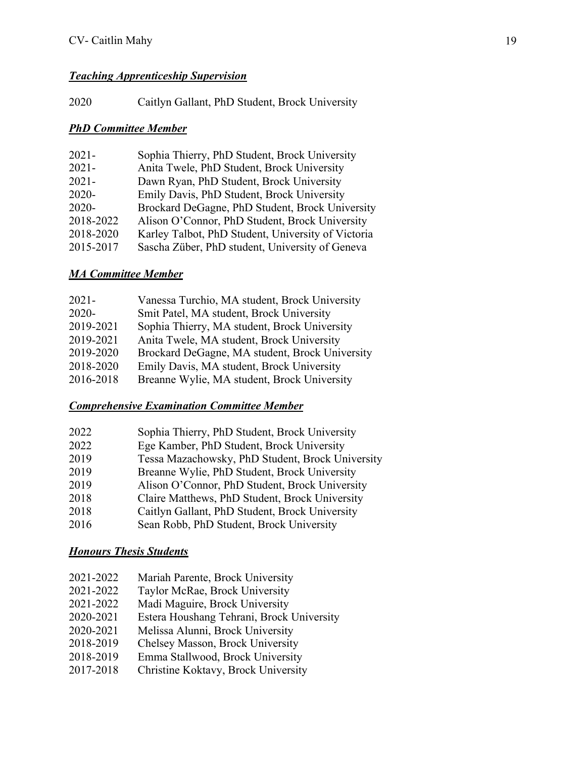## *Teaching Apprenticeship Supervision*

2020 Caitlyn Gallant, PhD Student, Brock University

## *PhD Committee Member*

| Sophia Thierry, PhD Student, Brock University<br>$2021 -$       |  |
|-----------------------------------------------------------------|--|
| Anita Twele, PhD Student, Brock University<br>$2021 -$          |  |
| Dawn Ryan, PhD Student, Brock University<br>$2021 -$            |  |
| Emily Davis, PhD Student, Brock University<br>$2020 -$          |  |
| Brockard DeGagne, PhD Student, Brock University<br>$2020 -$     |  |
| 2018-2022<br>Alison O'Connor, PhD Student, Brock University     |  |
| 2018-2020<br>Karley Talbot, PhD Student, University of Victoria |  |
| 2015-2017<br>Sascha Züber, PhD student, University of Geneva    |  |

## *MA Committee Member*

| $2021 -$  | Vanessa Turchio, MA student, Brock University  |
|-----------|------------------------------------------------|
| 2020-     | Smit Patel, MA student, Brock University       |
| 2019-2021 | Sophia Thierry, MA student, Brock University   |
| 2019-2021 | Anita Twele, MA student, Brock University      |
| 2019-2020 | Brockard DeGagne, MA student, Brock University |
| 2018-2020 | Emily Davis, MA student, Brock University      |
| 2016-2018 | Breanne Wylie, MA student, Brock University    |

## *Comprehensive Examination Committee Member*

| 2022 | Sophia Thierry, PhD Student, Brock University    |
|------|--------------------------------------------------|
| 2022 | Ege Kamber, PhD Student, Brock University        |
| 2019 | Tessa Mazachowsky, PhD Student, Brock University |
| 2019 | Breanne Wylie, PhD Student, Brock University     |
| 2019 | Alison O'Connor, PhD Student, Brock University   |
| 2018 | Claire Matthews, PhD Student, Brock University   |
| 2018 | Caitlyn Gallant, PhD Student, Brock University   |
| 2016 | Sean Robb, PhD Student, Brock University         |

## *Honours Thesis Students*

- 2021-2022 Taylor McRae, Brock University
- 2021-2022 Madi Maguire, Brock University
- 2020-2021 Estera Houshang Tehrani, Brock University
- 2020-2021 Melissa Alunni, Brock University
- 2018-2019 Chelsey Masson, Brock University
- 2018-2019 Emma Stallwood, Brock University
- 2017-2018 Christine Koktavy, Brock University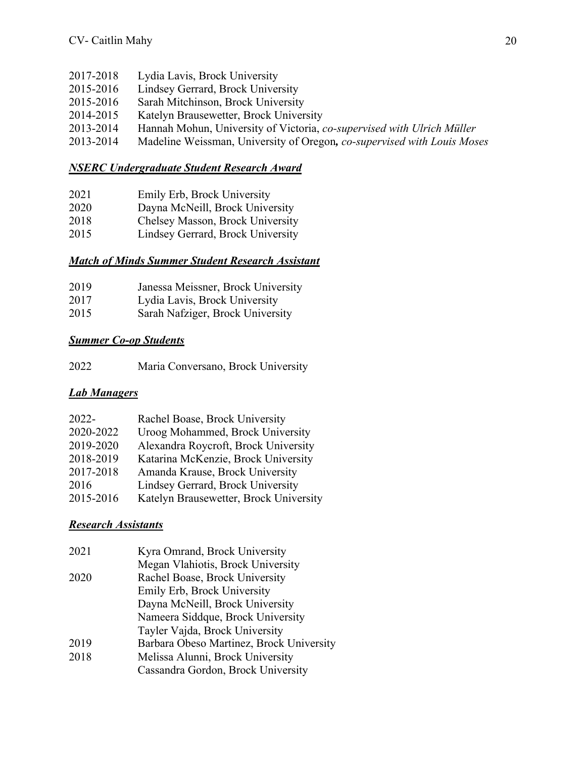- 2017-2018 Lydia Lavis, Brock University
- 2015-2016 Lindsey Gerrard, Brock University
- 2015-2016 Sarah Mitchinson, Brock University
- 2014-2015 Katelyn Brausewetter, Brock University
- 2013-2014 Hannah Mohun, University of Victoria, *co-supervised with Ulrich Müller*
- 2013-2014 Madeline Weissman, University of Oregon*, co-supervised with Louis Moses*

### *NSERC Undergraduate Student Research Award*

- 2021 Emily Erb, Brock University
- 2020 Dayna McNeill, Brock University
- 2018 Chelsey Masson, Brock University
- 2015 Lindsey Gerrard, Brock University

### *Match of Minds Summer Student Research Assistant*

| 2019 | Janessa Meissner, Brock University |
|------|------------------------------------|
| 2017 | Lydia Lavis, Brock University      |
|      |                                    |

2015 Sarah Nafziger, Brock University

### *Summer Co-op Students*

| 2022<br>Maria Conversano, Brock University |  |
|--------------------------------------------|--|
|--------------------------------------------|--|

## *Lab Managers*

| $2022 -$  | Rachel Boase, Brock University         |
|-----------|----------------------------------------|
| 2020-2022 | Uroog Mohammed, Brock University       |
| 2019-2020 | Alexandra Roycroft, Brock University   |
| 2018-2019 | Katarina McKenzie, Brock University    |
| 2017-2018 | Amanda Krause, Brock University        |
| 2016      | Lindsey Gerrard, Brock University      |
| 2015-2016 | Katelyn Brausewetter, Brock University |

## *Research Assistants*

| 2021 | Kyra Omrand, Brock University            |
|------|------------------------------------------|
|      | Megan Vlahiotis, Brock University        |
| 2020 | Rachel Boase, Brock University           |
|      | Emily Erb, Brock University              |
|      | Dayna McNeill, Brock University          |
|      | Nameera Siddque, Brock University        |
|      | Tayler Vajda, Brock University           |
| 2019 | Barbara Obeso Martinez, Brock University |
| 2018 | Melissa Alunni, Brock University         |
|      | Cassandra Gordon, Brock University       |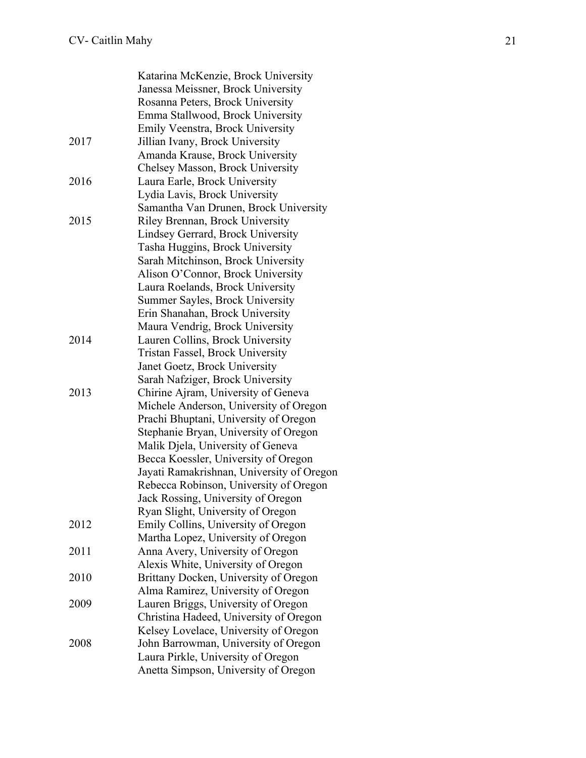|      | Katarina McKenzie, Brock University       |
|------|-------------------------------------------|
|      | Janessa Meissner, Brock University        |
|      | Rosanna Peters, Brock University          |
|      | Emma Stallwood, Brock University          |
|      | Emily Veenstra, Brock University          |
| 2017 | Jillian Ivany, Brock University           |
|      | Amanda Krause, Brock University           |
|      | Chelsey Masson, Brock University          |
| 2016 | Laura Earle, Brock University             |
|      | Lydia Lavis, Brock University             |
|      | Samantha Van Drunen, Brock University     |
| 2015 | Riley Brennan, Brock University           |
|      | Lindsey Gerrard, Brock University         |
|      | Tasha Huggins, Brock University           |
|      | Sarah Mitchinson, Brock University        |
|      | Alison O'Connor, Brock University         |
|      | Laura Roelands, Brock University          |
|      | Summer Sayles, Brock University           |
|      | Erin Shanahan, Brock University           |
|      | Maura Vendrig, Brock University           |
| 2014 | Lauren Collins, Brock University          |
|      | Tristan Fassel, Brock University          |
|      | Janet Goetz, Brock University             |
|      | Sarah Nafziger, Brock University          |
| 2013 | Chirine Ajram, University of Geneva       |
|      | Michele Anderson, University of Oregon    |
|      | Prachi Bhuptani, University of Oregon     |
|      | Stephanie Bryan, University of Oregon     |
|      | Malik Djela, University of Geneva         |
|      | Becca Koessler, University of Oregon      |
|      | Jayati Ramakrishnan, University of Oregon |
|      | Rebecca Robinson, University of Oregon    |
|      | Jack Rossing, University of Oregon        |
|      | Ryan Slight, University of Oregon         |
| 2012 | Emily Collins, University of Oregon       |
|      | Martha Lopez, University of Oregon        |
| 2011 | Anna Avery, University of Oregon          |
|      | Alexis White, University of Oregon        |
| 2010 | Brittany Docken, University of Oregon     |
|      | Alma Ramirez, University of Oregon        |
| 2009 | Lauren Briggs, University of Oregon       |
|      | Christina Hadeed, University of Oregon    |
|      | Kelsey Lovelace, University of Oregon     |
| 2008 | John Barrowman, University of Oregon      |
|      | Laura Pirkle, University of Oregon        |
|      | Anetta Simpson, University of Oregon      |
|      |                                           |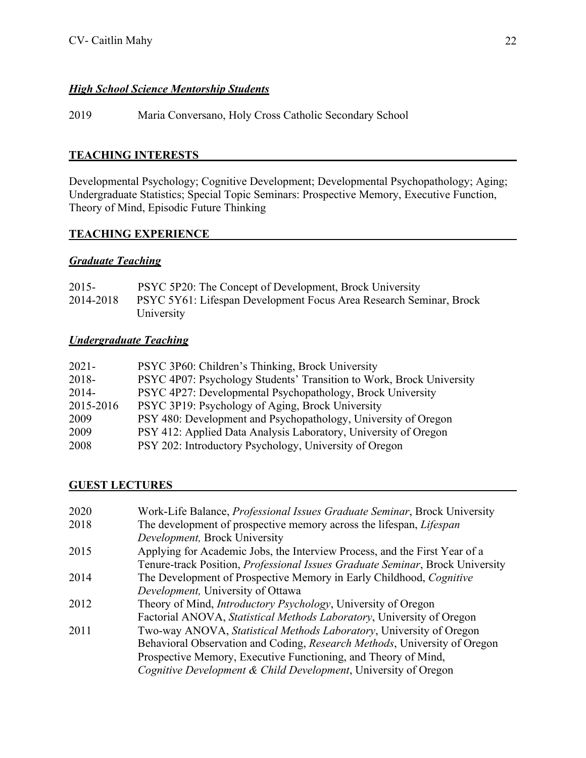## *High School Science Mentorship Students*

2019 Maria Conversano, Holy Cross Catholic Secondary School

### **TEACHING INTERESTS**

Developmental Psychology; Cognitive Development; Developmental Psychopathology; Aging; Undergraduate Statistics; Special Topic Seminars: Prospective Memory, Executive Function, Theory of Mind, Episodic Future Thinking

### **TEACHING EXPERIENCE**

### *Graduate Teaching*

| $2015 -$  | PSYC 5P20: The Concept of Development, Brock University            |
|-----------|--------------------------------------------------------------------|
| 2014-2018 | PSYC 5Y61: Lifespan Development Focus Area Research Seminar, Brock |
|           | University                                                         |

### *Undergraduate Teaching*

| $2021 -$  | PSYC 3P60: Children's Thinking, Brock University                     |
|-----------|----------------------------------------------------------------------|
| 2018-     | PSYC 4P07: Psychology Students' Transition to Work, Brock University |
| $2014-$   | PSYC 4P27: Developmental Psychopathology, Brock University           |
| 2015-2016 | PSYC 3P19: Psychology of Aging, Brock University                     |
| 2009      | PSY 480: Development and Psychopathology, University of Oregon       |
| 2009      | PSY 412: Applied Data Analysis Laboratory, University of Oregon      |
| 2008      | PSY 202: Introductory Psychology, University of Oregon               |

#### **GUEST LECTURES**

| 2020 | Work-Life Balance, <i>Professional Issues Graduate Seminar</i> , Brock University |
|------|-----------------------------------------------------------------------------------|
| 2018 | The development of prospective memory across the lifespan, Lifespan               |
|      | Development, Brock University                                                     |
| 2015 | Applying for Academic Jobs, the Interview Process, and the First Year of a        |
|      | Tenure-track Position, Professional Issues Graduate Seminar, Brock University     |
| 2014 | The Development of Prospective Memory in Early Childhood, Cognitive               |
|      | Development, University of Ottawa                                                 |
| 2012 | Theory of Mind, <i>Introductory Psychology</i> , University of Oregon             |
|      | Factorial ANOVA, Statistical Methods Laboratory, University of Oregon             |
| 2011 | Two-way ANOVA, Statistical Methods Laboratory, University of Oregon               |
|      | Behavioral Observation and Coding, Research Methods, University of Oregon         |
|      | Prospective Memory, Executive Functioning, and Theory of Mind,                    |
|      | Cognitive Development & Child Development, University of Oregon                   |
|      |                                                                                   |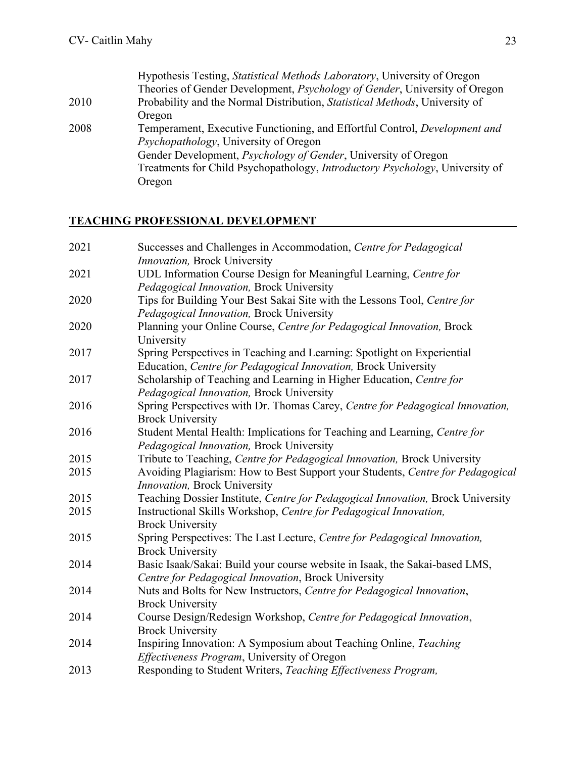|      | Hypothesis Testing, <i>Statistical Methods Laboratory</i> , University of Oregon     |
|------|--------------------------------------------------------------------------------------|
|      | Theories of Gender Development, <i>Psychology of Gender</i> , University of Oregon   |
| 2010 | Probability and the Normal Distribution, <i>Statistical Methods</i> , University of  |
|      | Oregon                                                                               |
| 2008 | Temperament, Executive Functioning, and Effortful Control, Development and           |
|      | <i>Psychopathology</i> , University of Oregon                                        |
|      | Gender Development, <i>Psychology of Gender</i> , University of Oregon               |
|      | Treatments for Child Psychopathology, <i>Introductory Psychology</i> , University of |
|      | Oregon                                                                               |

# **TEACHING PROFESSIONAL DEVELOPMENT**

| 2021 | Successes and Challenges in Accommodation, Centre for Pedagogical               |
|------|---------------------------------------------------------------------------------|
|      | Innovation, Brock University                                                    |
| 2021 | UDL Information Course Design for Meaningful Learning, Centre for               |
|      | Pedagogical Innovation, Brock University                                        |
| 2020 | Tips for Building Your Best Sakai Site with the Lessons Tool, Centre for        |
|      | Pedagogical Innovation, Brock University                                        |
| 2020 | Planning your Online Course, Centre for Pedagogical Innovation, Brock           |
|      | University                                                                      |
| 2017 | Spring Perspectives in Teaching and Learning: Spotlight on Experiential         |
|      | Education, Centre for Pedagogical Innovation, Brock University                  |
| 2017 | Scholarship of Teaching and Learning in Higher Education, Centre for            |
|      | Pedagogical Innovation, Brock University                                        |
| 2016 | Spring Perspectives with Dr. Thomas Carey, Centre for Pedagogical Innovation,   |
|      | <b>Brock University</b>                                                         |
| 2016 | Student Mental Health: Implications for Teaching and Learning, Centre for       |
|      | Pedagogical Innovation, Brock University                                        |
| 2015 | Tribute to Teaching, Centre for Pedagogical Innovation, Brock University        |
| 2015 | Avoiding Plagiarism: How to Best Support your Students, Centre for Pedagogical  |
|      | Innovation, Brock University                                                    |
| 2015 | Teaching Dossier Institute, Centre for Pedagogical Innovation, Brock University |
| 2015 | Instructional Skills Workshop, Centre for Pedagogical Innovation,               |
|      | <b>Brock University</b>                                                         |
| 2015 | Spring Perspectives: The Last Lecture, Centre for Pedagogical Innovation,       |
|      | <b>Brock University</b>                                                         |
| 2014 | Basic Isaak/Sakai: Build your course website in Isaak, the Sakai-based LMS,     |
|      | Centre for Pedagogical Innovation, Brock University                             |
| 2014 | Nuts and Bolts for New Instructors, Centre for Pedagogical Innovation,          |
|      | <b>Brock University</b>                                                         |
| 2014 | Course Design/Redesign Workshop, Centre for Pedagogical Innovation,             |
|      | <b>Brock University</b>                                                         |
| 2014 | Inspiring Innovation: A Symposium about Teaching Online, Teaching               |
|      | Effectiveness Program, University of Oregon                                     |
| 2013 | Responding to Student Writers, Teaching Effectiveness Program,                  |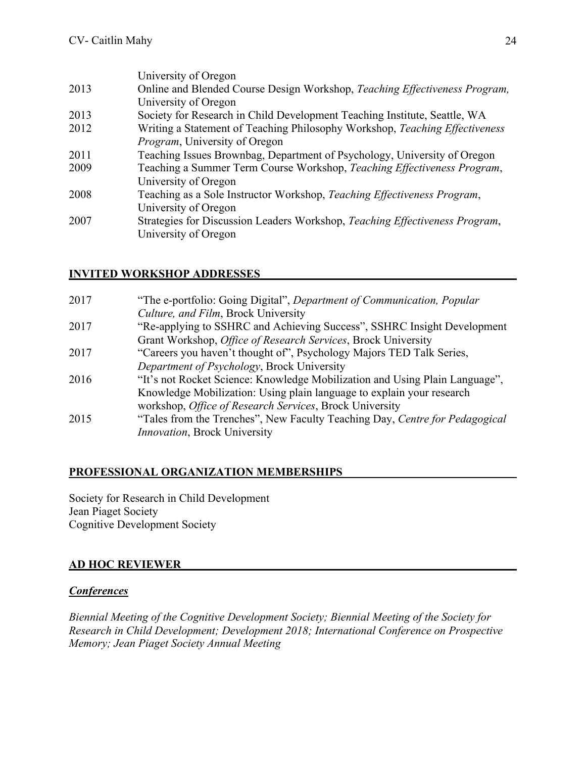| University of Oregon                                                        |
|-----------------------------------------------------------------------------|
| Online and Blended Course Design Workshop, Teaching Effectiveness Program,  |
| University of Oregon                                                        |
| Society for Research in Child Development Teaching Institute, Seattle, WA   |
| Writing a Statement of Teaching Philosophy Workshop, Teaching Effectiveness |
| <i>Program</i> , University of Oregon                                       |
| Teaching Issues Brownbag, Department of Psychology, University of Oregon    |
| Teaching a Summer Term Course Workshop, Teaching Effectiveness Program,     |
| University of Oregon                                                        |
| Teaching as a Sole Instructor Workshop, Teaching Effectiveness Program,     |
| University of Oregon                                                        |
| Strategies for Discussion Leaders Workshop, Teaching Effectiveness Program, |
| University of Oregon                                                        |
|                                                                             |

## **INVITED WORKSHOP ADDRESSES**

| 2017 | "The e-portfolio: Going Digital", Department of Communication, Popular      |
|------|-----------------------------------------------------------------------------|
|      | Culture, and Film, Brock University                                         |
| 2017 | "Re-applying to SSHRC and Achieving Success", SSHRC Insight Development     |
|      | Grant Workshop, Office of Research Services, Brock University               |
| 2017 | "Careers you haven't thought of", Psychology Majors TED Talk Series,        |
|      | Department of Psychology, Brock University                                  |
| 2016 | "It's not Rocket Science: Knowledge Mobilization and Using Plain Language", |
|      | Knowledge Mobilization: Using plain language to explain your research       |
|      | workshop, Office of Research Services, Brock University                     |
| 2015 | "Tales from the Trenches", New Faculty Teaching Day, Centre for Pedagogical |
|      | <i>Innovation</i> , Brock University                                        |
|      |                                                                             |

## **PROFESSIONAL ORGANIZATION MEMBERSHIPS**

Society for Research in Child Development Jean Piaget Society Cognitive Development Society

## **AD HOC REVIEWER**

#### *Conferences*

*Biennial Meeting of the Cognitive Development Society; Biennial Meeting of the Society for Research in Child Development; Development 2018; International Conference on Prospective Memory; Jean Piaget Society Annual Meeting*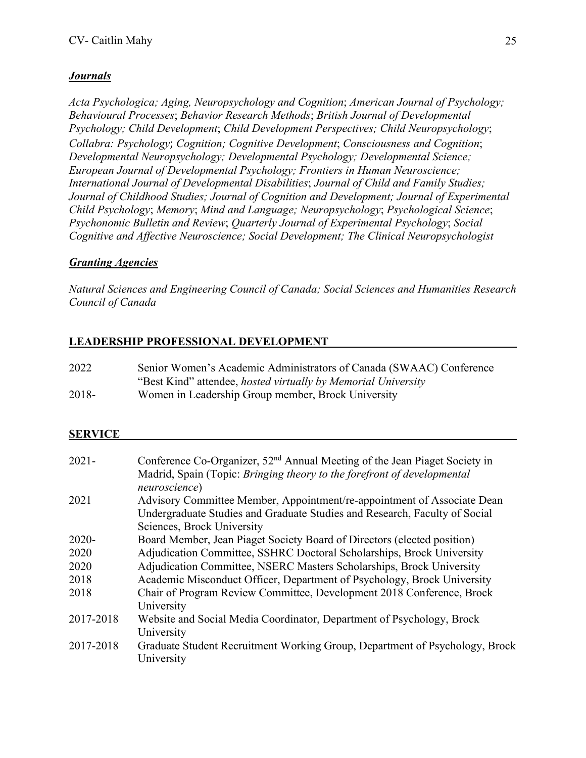## *Journals*

*Acta Psychologica; Aging, Neuropsychology and Cognition*; *American Journal of Psychology; Behavioural Processes*; *Behavior Research Methods*; *British Journal of Developmental Psychology; Child Development*; *Child Development Perspectives; Child Neuropsychology*; *Collabra: Psychology*; *Cognition; Cognitive Development*; *Consciousness and Cognition*; *Developmental Neuropsychology; Developmental Psychology; Developmental Science; European Journal of Developmental Psychology; Frontiers in Human Neuroscience; International Journal of Developmental Disabilities*; *Journal of Child and Family Studies; Journal of Childhood Studies; Journal of Cognition and Development; Journal of Experimental Child Psychology*; *Memory*; *Mind and Language; Neuropsychology*; *Psychological Science*; *Psychonomic Bulletin and Review*; *Quarterly Journal of Experimental Psychology*; *Social Cognitive and Affective Neuroscience; Social Development; The Clinical Neuropsychologist*

## *Granting Agencies*

*Natural Sciences and Engineering Council of Canada; Social Sciences and Humanities Research Council of Canada*

## **LEADERSHIP PROFESSIONAL DEVELOPMENT**

| 2022  | Senior Women's Academic Administrators of Canada (SWAAC) Conference |
|-------|---------------------------------------------------------------------|
|       | "Best Kind" attendee, hosted virtually by Memorial University"      |
| 2018- | Women in Leadership Group member, Brock University                  |

#### **SERVICE**

| $2021 -$  | Conference Co-Organizer, 52 <sup>nd</sup> Annual Meeting of the Jean Piaget Society in |
|-----------|----------------------------------------------------------------------------------------|
|           | Madrid, Spain (Topic: Bringing theory to the forefront of developmental                |
|           | neuroscience)                                                                          |
| 2021      | Advisory Committee Member, Appointment/re-appointment of Associate Dean                |
|           | Undergraduate Studies and Graduate Studies and Research, Faculty of Social             |
|           | Sciences, Brock University                                                             |
| 2020-     | Board Member, Jean Piaget Society Board of Directors (elected position)                |
| 2020      | Adjudication Committee, SSHRC Doctoral Scholarships, Brock University                  |
| 2020      | Adjudication Committee, NSERC Masters Scholarships, Brock University                   |
| 2018      | Academic Misconduct Officer, Department of Psychology, Brock University                |
| 2018      | Chair of Program Review Committee, Development 2018 Conference, Brock                  |
|           | University                                                                             |
| 2017-2018 | Website and Social Media Coordinator, Department of Psychology, Brock                  |
|           | University                                                                             |
| 2017-2018 | Graduate Student Recruitment Working Group, Department of Psychology, Brock            |
|           | University                                                                             |
|           |                                                                                        |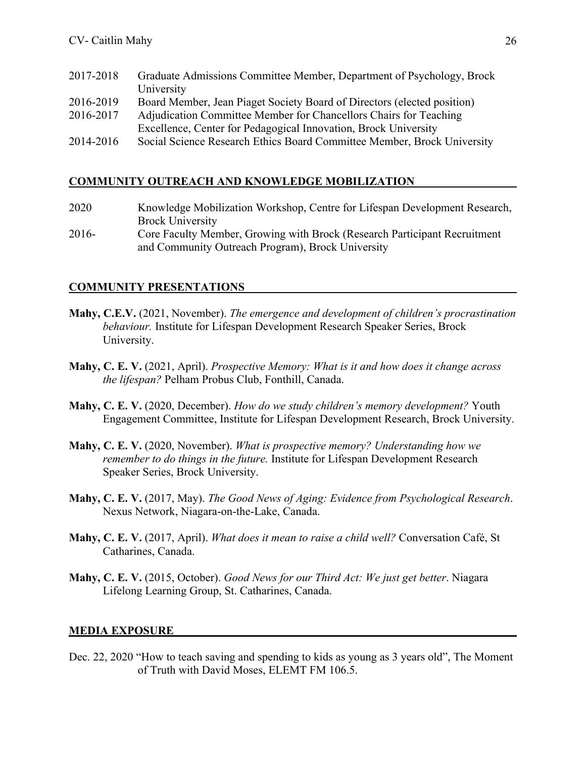| 2017-2018 | Graduate Admissions Committee Member, Department of Psychology, Brock   |
|-----------|-------------------------------------------------------------------------|
|           | University                                                              |
| 2016-2019 | Board Member, Jean Piaget Society Board of Directors (elected position) |
| 2016-2017 | Adjudication Committee Member for Chancellors Chairs for Teaching       |
|           | Excellence, Center for Pedagogical Innovation, Brock University         |
| 2014-2016 | Social Science Research Ethics Board Committee Member, Brock University |

## **COMMUNITY OUTREACH AND KNOWLEDGE MOBILIZATION**

| 2020  | Knowledge Mobilization Workshop, Centre for Lifespan Development Research, |
|-------|----------------------------------------------------------------------------|
|       | <b>Brock University</b>                                                    |
| 2016- | Core Faculty Member, Growing with Brock (Research Participant Recruitment  |
|       | and Community Outreach Program), Brock University                          |

## **COMMUNITY PRESENTATIONS**

- **Mahy, C.E.V.** (2021, November). *The emergence and development of children's procrastination behaviour.* Institute for Lifespan Development Research Speaker Series, Brock University.
- **Mahy, C. E. V.** (2021, April). *Prospective Memory: What is it and how does it change across the lifespan?* Pelham Probus Club, Fonthill, Canada.
- **Mahy, C. E. V.** (2020, December). *How do we study children's memory development?* Youth Engagement Committee, Institute for Lifespan Development Research, Brock University.
- **Mahy, C. E. V.** (2020, November). *What is prospective memory? Understanding how we remember to do things in the future.* Institute for Lifespan Development Research Speaker Series, Brock University.
- **Mahy, C. E. V.** (2017, May). *The Good News of Aging: Evidence from Psychological Research*. Nexus Network, Niagara-on-the-Lake, Canada.
- **Mahy, C. E. V.** (2017, April). *What does it mean to raise a child well?* Conversation Café, St Catharines, Canada.
- **Mahy, C. E. V.** (2015, October). *Good News for our Third Act: We just get better*. Niagara Lifelong Learning Group, St. Catharines, Canada.

#### **MEDIA EXPOSURE**

Dec. 22, 2020 "How to teach saving and spending to kids as young as 3 years old", The Moment of Truth with David Moses, ELEMT FM 106.5.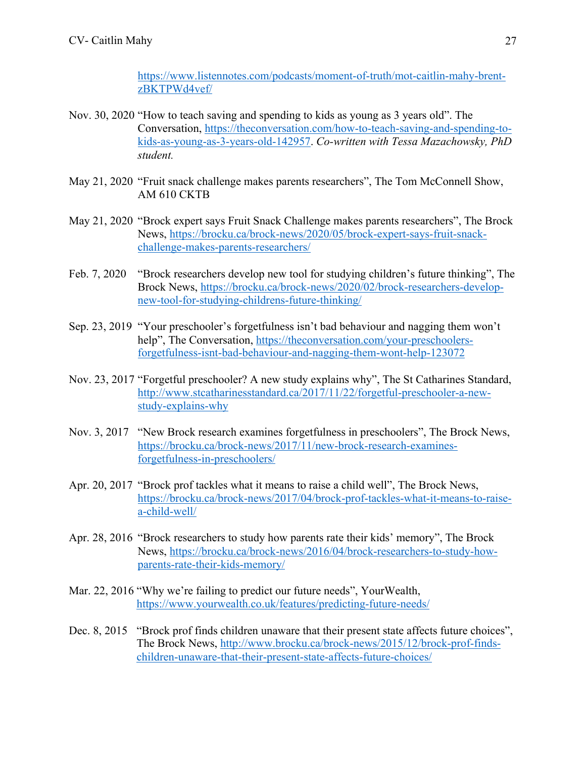https://www.listennotes.com/podcasts/moment-of-truth/mot-caitlin-mahy-brentzBKTPWd4vef/

- Nov. 30, 2020 "How to teach saving and spending to kids as young as 3 years old". The Conversation, https://theconversation.com/how-to-teach-saving-and-spending-tokids-as-young-as-3-years-old-142957. *Co-written with Tessa Mazachowsky, PhD student.*
- May 21, 2020 "Fruit snack challenge makes parents researchers", The Tom McConnell Show, AM 610 CKTB
- May 21, 2020 "Brock expert says Fruit Snack Challenge makes parents researchers", The Brock News, https://brocku.ca/brock-news/2020/05/brock-expert-says-fruit-snackchallenge-makes-parents-researchers/
- Feb. 7, 2020 "Brock researchers develop new tool for studying children's future thinking", The Brock News, https://brocku.ca/brock-news/2020/02/brock-researchers-developnew-tool-for-studying-childrens-future-thinking/
- Sep. 23, 2019 "Your preschooler's forgetfulness isn't bad behaviour and nagging them won't help", The Conversation, https://theconversation.com/your-preschoolersforgetfulness-isnt-bad-behaviour-and-nagging-them-wont-help-123072
- Nov. 23, 2017 "Forgetful preschooler? A new study explains why", The St Catharines Standard, http://www.stcatharinesstandard.ca/2017/11/22/forgetful-preschooler-a-newstudy-explains-why
- Nov. 3, 2017 "New Brock research examines forgetfulness in preschoolers", The Brock News, https://brocku.ca/brock-news/2017/11/new-brock-research-examinesforgetfulness-in-preschoolers/
- Apr. 20, 2017 "Brock prof tackles what it means to raise a child well", The Brock News, https://brocku.ca/brock-news/2017/04/brock-prof-tackles-what-it-means-to-raisea-child-well/
- Apr. 28, 2016 "Brock researchers to study how parents rate their kids' memory", The Brock News, https://brocku.ca/brock-news/2016/04/brock-researchers-to-study-howparents-rate-their-kids-memory/
- Mar. 22, 2016 "Why we're failing to predict our future needs", YourWealth, https://www.yourwealth.co.uk/features/predicting-future-needs/
- Dec. 8, 2015 "Brock prof finds children unaware that their present state affects future choices", The Brock News, http://www.brocku.ca/brock-news/2015/12/brock-prof-findschildren-unaware-that-their-present-state-affects-future-choices/